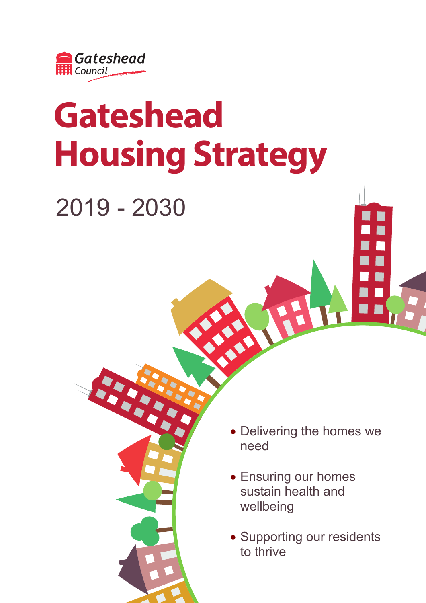

# **Gateshead Housing Strategy**

2019 - 2030

- Delivering the homes we need
- Ensuring our homes sustain health and wellbeing
- Supporting our residents to thrive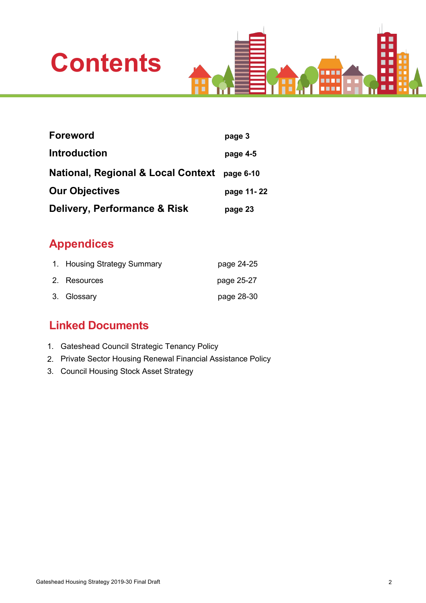



| <b>Foreword</b>                               | page 3     |
|-----------------------------------------------|------------|
| <b>Introduction</b>                           | page 4-5   |
| <b>National, Regional &amp; Local Context</b> | page 6-10  |
| <b>Our Objectives</b>                         | page 11-22 |
| Delivery, Performance & Risk                  | page 23    |

### **Appendices**

| 1. Housing Strategy Summary | page 24-25 |
|-----------------------------|------------|
| 2. Resources                | page 25-27 |
| 3. Glossary                 | page 28-30 |

### **Linked Documents**

- 1. Gateshead Council Strategic Tenancy Policy
- 2. Private Sector Housing Renewal Financial Assistance Policy
- 3. Council Housing Stock Asset Strategy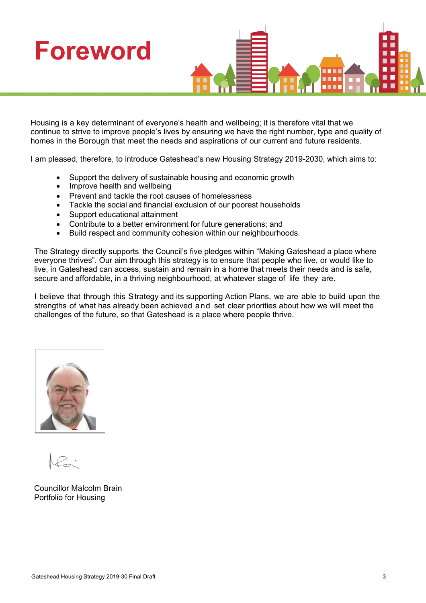

Housing is a key determinant of everyone's health and wellbeing; it is therefore vital that we continue to strive to improve people's lives by ensuring we have the right number, type and quality of homes in the Borough that meet the needs and aspirations of our current and future residents.

I am pleased, therefore, to introduce Gateshead's new Housing Strategy 2019-2030, which aims to:

- Support the delivery of sustainable housing and economic growth
- Improve health and wellbeing
- Prevent and tackle the root causes of homelessness
- Tackle the social and financial exclusion of our poorest households
- Support educational attainment
- Contribute to a better environment for future generations; and
- Build respect and community cohesion within our neighbourhoods.

The Strategy directly supports the Council's five pledges within "Making Gateshead a place where everyone thrives". Our aim through this strategy is to ensure that people who live, or would like to live, in Gateshead can access, sustain and remain in a home that meets their needs and is safe, secure and affordable, in a thriving neighbourhood, at whatever stage of life they are.

I believe that through this Strategy and its supporting Action Plans, we are able to build upon the strengths of what has already been achieved and set clear priorities about how we will meet the challenges of the future, so that Gateshead is a place where people thrive.



Councillor Malcolm Brain Portfolio for Housing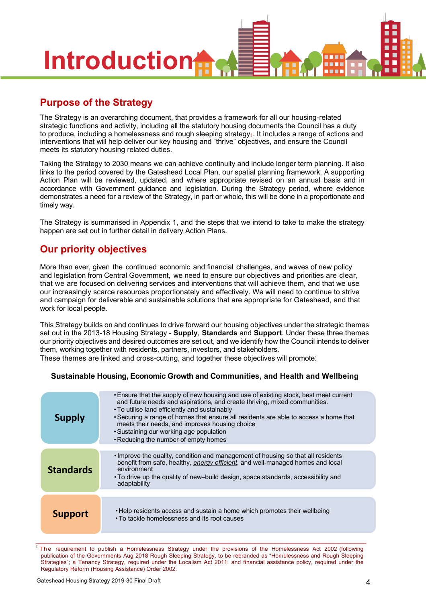

### **Purpose of the Strategy**

The Strategy is an overarching document, that provides a framework for all our housing-related strategic functions and activity, including all the statutory housing documents the Council has a duty to produce, including a homelessness and rough sleeping strategy<sub>1</sub>. It includes a range of actions and interventions that will help deliver our key housing and "thrive" objectives, and ensure the Council meets its statutory housing related duties.

Taking the Strategy to 2030 means we can achieve continuity and include longer term planning. It also links to the period covered by the Gateshead Local Plan, our spatial planning framework. A supporting Action Plan will be reviewed, updated, and where appropriate revised on an annual basis and in accordance with Government guidance and legislation. During the Strategy period, where evidence demonstrates a need for a review of the Strategy, in part or whole, this will be done in a proportionate and timely way.

The Strategy is summarised in Appendix 1, and the steps that we intend to take to make the strategy happen are set out in further detail in delivery Action Plans.

### **Our priority objectives**

More than ever, given the continued economic and financial challenges, and waves of new policy and legislation from Central Government, we need to ensure our objectives and priorities are clear, that we are focused on delivering services and interventions that will achieve them, and that we use our increasingly scarce resources proportionately and effectively. We will need to continue to strive and campaign for deliverable and sustainable solutions that are appropriate for Gateshead, and that work for local people.

This Strategy builds on and continues to drive forward our housing objectives under the strategic themes set out in the 2013-18 Housing Strategy - **Supply**, **Standards** and **Support**. Under these three themes our priority objectives and desired outcomes are set out, and we identify how the Council intends to deliver them, working together with residents, partners, investors, and stakeholders.

These themes are linked and cross-cutting, and together these objectives will promote:

#### **Sustainable Housing, Economic Growth and Communities, and Health and Wellbeing**

| <b>Supply</b>    | . Ensure that the supply of new housing and use of existing stock, best meet current<br>and future needs and aspirations, and create thriving, mixed communities.<br>. To utilise land efficiently and sustainably<br>• Securing a range of homes that ensure all residents are able to access a home that<br>meets their needs, and improves housing choice<br>• Sustaining our working age population<br>• Reducing the number of empty homes |
|------------------|-------------------------------------------------------------------------------------------------------------------------------------------------------------------------------------------------------------------------------------------------------------------------------------------------------------------------------------------------------------------------------------------------------------------------------------------------|
| <b>Standards</b> | • Improve the quality, condition and management of housing so that all residents<br>benefit from safe, healthy, energy efficient, and well-managed homes and local<br>environment<br>• To drive up the quality of new-build design, space standards, accessibility and<br>adaptability                                                                                                                                                          |
| <b>Support</b>   | • Help residents access and sustain a home which promotes their wellbeing<br>• To tackle homelessness and its root causes                                                                                                                                                                                                                                                                                                                       |

 $1$  The requirement to publish a Homelessness Strategy under the provisions of the Homelessness Act 2002 (following publication of the Governments Aug 2018 Rough Sleeping Strategy, to be rebranded as "Homelessness and Rough Sleeping Strategies"; a Tenancy Strategy, required under the Localism Act 2011; and financial assistance policy, required under the Regulatory Reform (Housing Assistance) Order 2002.

\_\_\_\_\_\_\_\_\_\_\_\_\_\_\_\_\_\_\_\_\_\_\_\_\_\_\_\_\_\_\_\_\_\_\_\_\_\_\_\_\_\_\_\_\_\_\_\_\_\_\_\_\_\_\_\_\_\_\_\_\_\_\_\_\_\_\_\_\_\_\_\_\_\_\_\_\_\_\_\_\_\_\_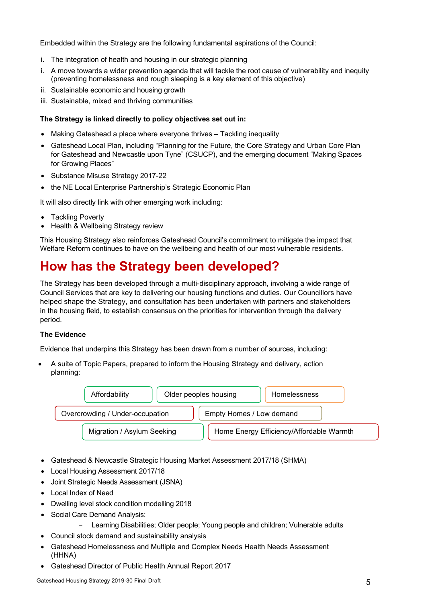Embedded within the Strategy are the following fundamental aspirations of the Council:

- i. The integration of health and housing in our strategic planning
- i. A move towards a wider prevention agenda that will tackle the root cause of vulnerability and inequity (preventing homelessness and rough sleeping is a key element of this objective)
- ii. Sustainable economic and housing growth
- iii. Sustainable, mixed and thriving communities

#### **The Strategy is linked directly to policy objectives set out in:**

- Making Gateshead a place where everyone thrives Tackling inequality
- Gateshead Local Plan, including "Planning for the Future, the Core Strategy and Urban Core Plan for Gateshead and Newcastle upon Tyne" (CSUCP), and the emerging document "Making Spaces for Growing Places"
- Substance Misuse Strategy 2017-22
- the NE Local Enterprise Partnership's Strategic Economic Plan

It will also directly link with other emerging work including:

- Tackling Poverty
- Health & Wellbeing Strategy review

This Housing Strategy also reinforces Gateshead Council's commitment to mitigate the impact that Welfare Reform continues to have on the wellbeing and health of our most vulnerable residents.

### **How has the Strategy been developed?**

The Strategy has been developed through a multi-disciplinary approach, involving a wide range of Council Services that are key to delivering our housing functions and duties. Our Councillors have helped shape the Strategy, and consultation has been undertaken with partners and stakeholders in the housing field, to establish consensus on the priorities for intervention through the delivery period.

#### **The Evidence**

Evidence that underpins this Strategy has been drawn from a number of sources, including:

• A suite of Topic Papers, prepared to inform the Housing Strategy and delivery, action planning:



- Gateshead & Newcastle Strategic Housing Market Assessment 2017/18 (SHMA)
- Local Housing Assessment 2017/18
- Joint Strategic Needs Assessment (JSNA)
- Local Index of Need
- Dwelling level stock condition modelling 2018
- Social Care Demand Analysis:
	- Learning Disabilities; Older people; Young people and children; Vulnerable adults
- Council stock demand and sustainability analysis
- Gateshead Homelessness and Multiple and Complex Needs Health Needs Assessment (HHNA)
- Gateshead Director of Public Health Annual Report 2017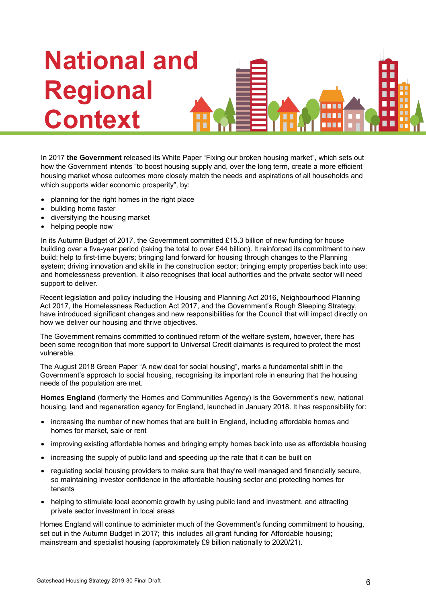# **National and Regional Context**

In 2017 **the Government** released its White Paper "Fixing our broken housing market", which sets out how the Government intends "to boost housing supply and, over the long term, create a more efficient housing market whose outcomes more closely match the needs and aspirations of all households and which supports wider economic prosperity", by:

- planning for the right homes in the right place
- building home faster
- diversifying the housing market
- helping people now

In its Autumn Budget of 2017, the Government committed £15.3 billion of new funding for house building over a five-year period (taking the total to over £44 billion). It reinforced its commitment to new build; help to first-time buyers; bringing land forward for housing through changes to the Planning system; driving innovation and skills in the construction sector; bringing empty properties back into use; and homelessness prevention. It also recognises that local authorities and the private sector will need support to deliver.

Recent legislation and policy including the Housing and Planning Act 2016, Neighbourhood Planning Act 2017, the Homelessness Reduction Act 2017, and the Government's Rough Sleeping Strategy, have introduced significant changes and new responsibilities for the Council that will impact directly on how we deliver our housing and thrive objectives.

The Government remains committed to continued reform of the welfare system, however, there has been some recognition that more support to Universal Credit claimants is required to protect the most vulnerable.

The August 2018 Green Paper "A new deal for social housing", marks a fundamental shift in the Government's approach to social housing, recognising its important role in ensuring that the housing needs of the population are met.

**Homes England** (formerly the Homes and Communities Agency) is the Government's new, national housing, land and regeneration agency for England, launched in January 2018. It has responsibility for:

- increasing the number of new homes that are built in England, including affordable homes and homes for market, sale or rent
- improving existing affordable homes and bringing empty homes back into use as affordable housing
- increasing the supply of public land and speeding up the rate that it can be built on
- regulating social housing providers to make sure that they're well managed and financially secure, so maintaining investor confidence in the affordable housing sector and protecting homes for tenants
- helping to stimulate local economic growth by using public land and investment, and attracting private sector investment in local areas

Homes England will continue to administer much of the Government's funding commitment to housing, set out in the Autumn Budget in 2017; this includes all grant funding for Affordable housing; mainstream and specialist housing (approximately £9 billion nationally to 2020/21).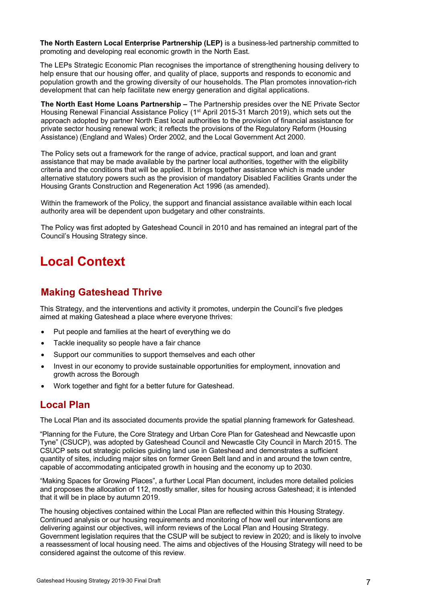**The North Eastern Local Enterprise Partnership (LEP)** is a business-led partnership committed to promoting and developing real economic growth in the North East.

The LEPs Strategic Economic Plan recognises the importance of strengthening housing delivery to help ensure that our housing offer, and quality of place, supports and responds to economic and population growth and the growing diversity of our households. The Plan promotes innovation-rich development that can help facilitate new energy generation and digital applications.

**The North East Home Loans Partnership –** The Partnership presides over the NE Private Sector Housing Renewal Financial Assistance Policy (1<sup>st</sup> April 2015-31 March 2019), which sets out the approach adopted by partner North East local authorities to the provision of financial assistance for private sector housing renewal work; it reflects the provisions of the Regulatory Reform (Housing Assistance) (England and Wales) Order 2002, and the Local Government Act 2000.

The Policy sets out a framework for the range of advice, practical support, and loan and grant assistance that may be made available by the partner local authorities, together with the eligibility criteria and the conditions that will be applied. It brings together assistance which is made under alternative statutory powers such as the provision of mandatory Disabled Facilities Grants under the Housing Grants Construction and Regeneration Act 1996 (as amended).

Within the framework of the Policy, the support and financial assistance available within each local authority area will be dependent upon budgetary and other constraints.

The Policy was first adopted by Gateshead Council in 2010 and has remained an integral part of the Council's Housing Strategy since.

### **Local Context**

### **Making Gateshead Thrive**

This Strategy, and the interventions and activity it promotes, underpin the Council's five pledges aimed at making Gateshead a place where everyone thrives:

- Put people and families at the heart of everything we do
- Tackle inequality so people have a fair chance
- Support our communities to support themselves and each other
- Invest in our economy to provide sustainable opportunities for employment, innovation and growth across the Borough
- Work together and fight for a better future for Gateshead.

### **Local Plan**

The Local Plan and its associated documents provide the spatial planning framework for Gateshead.

"Planning for the Future, the Core Strategy and Urban Core Plan for Gateshead and Newcastle upon Tyne" (CSUCP), was adopted by Gateshead Council and Newcastle City Council in March 2015. The CSUCP sets out strategic policies guiding land use in Gateshead and demonstrates a sufficient quantity of sites, including major sites on former Green Belt land and in and around the town centre, capable of accommodating anticipated growth in housing and the economy up to 2030.

"Making Spaces for Growing Places", a further Local Plan document, includes more detailed policies and proposes the allocation of 112, mostly smaller, sites for housing across Gateshead; it is intended that it will be in place by autumn 2019.

The housing objectives contained within the Local Plan are reflected within this Housing Strategy. Continued analysis or our housing requirements and monitoring of how well our interventions are delivering against our objectives, will inform reviews of the Local Plan and Housing Strategy. Government legislation requires that the CSUP will be subject to review in 2020; and is likely to involve a reassessment of local housing need. The aims and objectives of the Housing Strategy will need to be considered against the outcome of this review.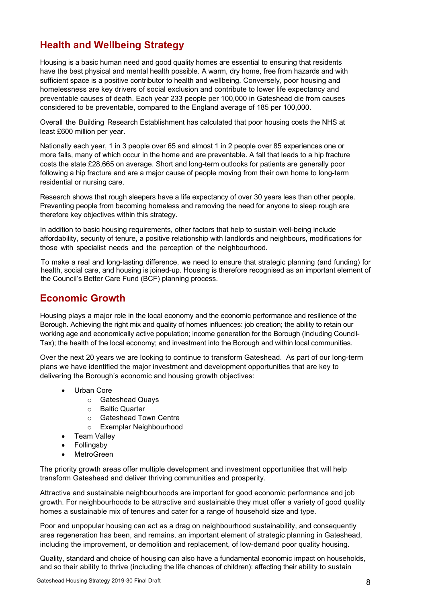### **Health and Wellbeing Strategy**

Housing is a basic human need and good quality homes are essential to ensuring that residents have the best physical and mental health possible. A warm, dry home, free from hazards and with sufficient space is a positive contributor to health and wellbeing. Conversely, poor housing and homelessness are key drivers of social exclusion and contribute to lower life expectancy and preventable causes of death. Each year 233 people per 100,000 in Gateshead die from causes considered to be preventable, compared to the England average of 185 per 100,000.

Overall the Building Research Establishment has calculated that poor housing costs the NHS at least £600 million per year.

Nationally each year, 1 in 3 people over 65 and almost 1 in 2 people over 85 experiences one or more falls, many of which occur in the home and are preventable. A fall that leads to a hip fracture costs the state £28,665 on average. Short and long-term outlooks for patients are generally poor following a hip fracture and are a major cause of people moving from their own home to long-term residential or nursing care.

Research shows that rough sleepers have a life expectancy of over 30 years less than other people. Preventing people from becoming homeless and removing the need for anyone to sleep rough are therefore key objectives within this strategy.

In addition to basic housing requirements, other factors that help to sustain well-being include affordability, security of tenure, a positive relationship with landlords and neighbours, modifications for those with specialist needs and the perception of the neighbourhood.

To make a real and long-lasting difference, we need to ensure that strategic planning (and funding) for health, social care, and housing is joined-up. Housing is therefore recognised as an important element of the Council's Better Care Fund (BCF) planning process.

### **Economic Growth**

Housing plays a major role in the local economy and the economic performance and resilience of the Borough. Achieving the right mix and quality of homes influences: job creation; the ability to retain our working age and economically active population; income generation for the Borough (including Council-Tax); the health of the local economy; and investment into the Borough and within local communities.

Over the next 20 years we are looking to continue to transform Gateshead. As part of our long-term plans we have identified the major investment and development opportunities that are key to delivering the Borough's economic and housing growth objectives:

- Urban Core
	- o Gateshead Quays
	- o Baltic Quarter
	- o Gateshead Town Centre
	- o Exemplar Neighbourhood
- Team Valley
- **Follingsby**
- **MetroGreen**

The priority growth areas offer multiple development and investment opportunities that will help transform Gateshead and deliver thriving communities and prosperity.

Attractive and sustainable neighbourhoods are important for good economic performance and job growth. For neighbourhoods to be attractive and sustainable they must offer a variety of good quality homes a sustainable mix of tenures and cater for a range of household size and type.

Poor and unpopular housing can act as a drag on neighbourhood sustainability, and consequently area regeneration has been, and remains, an important element of strategic planning in Gateshead, including the improvement, or demolition and replacement, of low-demand poor quality housing.

Quality, standard and choice of housing can also have a fundamental economic impact on households, and so their ability to thrive (including the life chances of children): affecting their ability to sustain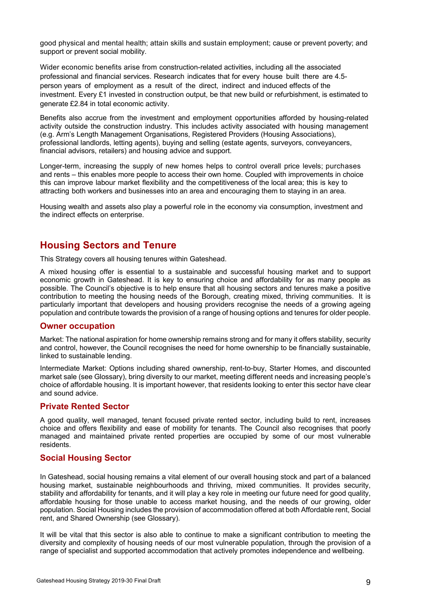good physical and mental health; attain skills and sustain employment; cause or prevent poverty; and support or prevent social mobility.

Wider economic benefits arise from construction-related activities, including all the associated professional and financial services. Research indicates that for every house built there are 4.5 person years of employment as a result of the direct, indirect and induced effects of the investment. Every £1 invested in construction output, be that new build or refurbishment, is estimated to generate £2.84 in total economic activity.

Benefits also accrue from the investment and employment opportunities afforded by housing-related activity outside the construction industry. This includes activity associated with housing management (e.g. Arm's Length Management Organisations, Registered Providers (Housing Associations), professional landlords, letting agents), buying and selling (estate agents, surveyors, conveyancers, financial advisors, retailers) and housing advice and support.

Longer-term, increasing the supply of new homes helps to control overall price levels; purchases and rents – this enables more people to access their own home. Coupled with improvements in choice this can improve labour market flexibility and the competitiveness of the local area; this is key to attracting both workers and businesses into an area and encouraging them to staying in an area.

Housing wealth and assets also play a powerful role in the economy via consumption, investment and the indirect effects on enterprise.

### **Housing Sectors and Tenure**

This Strategy covers all housing tenures within Gateshead.

A mixed housing offer is essential to a sustainable and successful housing market and to support economic growth in Gateshead. It is key to ensuring choice and affordability for as many people as possible. The Council's objective is to help ensure that all housing sectors and tenures make a positive contribution to meeting the housing needs of the Borough, creating mixed, thriving communities. It is particularly important that developers and housing providers recognise the needs of a growing ageing population and contribute towards the provision of a range of housing options and tenures for older people.

#### **Owner occupation**

Market: The national aspiration for home ownership remains strong and for many it offers stability, security and control, however, the Council recognises the need for home ownership to be financially sustainable. linked to sustainable lending.

Intermediate Market: Options including shared ownership, rent-to-buy, Starter Homes, and discounted market sale (see Glossary), bring diversity to our market, meeting different needs and increasing people's choice of affordable housing. It is important however, that residents looking to enter this sector have clear and sound advice.

### **Private Rented Sector**

A good quality, well managed, tenant focused private rented sector, including build to rent, increases choice and offers flexibility and ease of mobility for tenants. The Council also recognises that poorly managed and maintained private rented properties are occupied by some of our most vulnerable residents.

### **Social Housing Sector**

In Gateshead, social housing remains a vital element of our overall housing stock and part of a balanced housing market, sustainable neighbourhoods and thriving, mixed communities. It provides security, stability and affordability for tenants, and it will play a key role in meeting our future need for good quality, affordable housing for those unable to access market housing, and the needs of our growing, older population. Social Housing includes the provision of accommodation offered at both Affordable rent, Social rent, and Shared Ownership (see Glossary).

It will be vital that this sector is also able to continue to make a significant contribution to meeting the diversity and complexity of housing needs of our most vulnerable population, through the provision of a range of specialist and supported accommodation that actively promotes independence and wellbeing.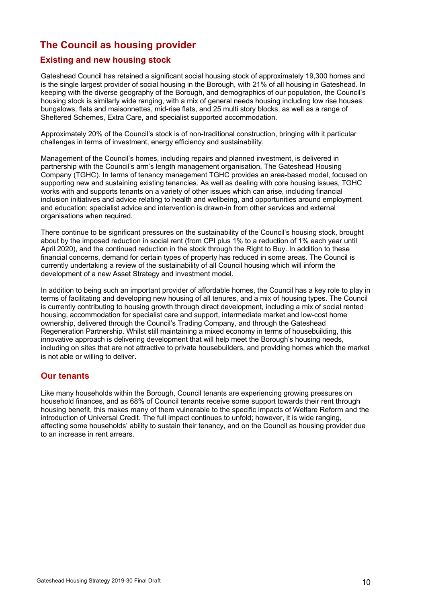### **The Council as housing provider**

### **Existing and new housing stock**

Gateshead Council has retained a significant social housing stock of approximately 19,300 homes and is the single largest provider of social housing in the Borough, with 21% of all housing in Gateshead. In keeping with the diverse geography of the Borough, and demographics of our population, the Council's housing stock is similarly wide ranging, with a mix of general needs housing including low rise houses, bungalows, flats and maisonnettes, mid-rise flats, and 25 multi story blocks, as well as a range of Sheltered Schemes, Extra Care, and specialist supported accommodation.

Approximately 20% of the Council's stock is of non-traditional construction, bringing with it particular challenges in terms of investment, energy efficiency and sustainability.

Management of the Council's homes, including repairs and planned investment, is delivered in partnership with the Council's arm's length management organisation, The Gateshead Housing Company (TGHC). In terms of tenancy management TGHC provides an area-based model, focused on supporting new and sustaining existing tenancies. As well as dealing with core housing issues, TGHC works with and supports tenants on a variety of other issues which can arise, including financial inclusion initiatives and advice relating to health and wellbeing, and opportunities around employment and education; specialist advice and intervention is drawn-in from other services and external organisations when required.

There continue to be significant pressures on the sustainability of the Council's housing stock, brought about by the imposed reduction in social rent (from CPI plus 1% to a reduction of 1% each year until April 2020), and the continued reduction in the stock through the Right to Buy. In addition to these financial concerns, demand for certain types of property has reduced in some areas. The Council is currently undertaking a review of the sustainability of all Council housing which will inform the development of a new Asset Strategy and investment model.

In addition to being such an important provider of affordable homes, the Council has a key role to play in terms of facilitating and developing new housing of all tenures, and a mix of housing types. The Council is currently contributing to housing growth through direct development, including a mix of social rented housing, accommodation for specialist care and support, intermediate market and low-cost home ownership, delivered through the Council's Trading Company, and through the Gateshead Regeneration Partnership. Whilst still maintaining a mixed economy in terms of housebuilding, this innovative approach is delivering development that will help meet the Borough's housing needs, including on sites that are not attractive to private housebuilders, and providing homes which the market is not able or willing to deliver.

### **Our tenants**

Like many households within the Borough, Council tenants are experiencing growing pressures on household finances, and as 68% of Council tenants receive some support towards their rent through housing benefit, this makes many of them vulnerable to the specific impacts of Welfare Reform and the introduction of Universal Credit. The full impact continues to unfold; however, it is wide ranging, affecting some households' ability to sustain their tenancy, and on the Council as housing provider due to an increase in rent arrears.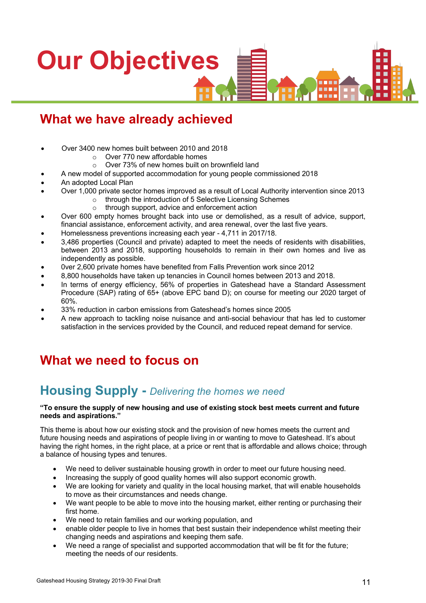# **Our Objectives**п п

### **What we have already achieved**

- Over 3400 new homes built between 2010 and 2018
	- o Over 770 new affordable homes
	- o Over 73% of new homes built on brownfield land
- A new model of supported accommodation for young people commissioned 2018
- An adopted Local Plan
- Over 1,000 private sector homes improved as a result of Local Authority intervention since 2013
	- o through the introduction of 5 Selective Licensing Schemes
		- o through support, advice and enforcement action
- Over 600 empty homes brought back into use or demolished, as a result of advice, support, financial assistance, enforcement activity, and area renewal, over the last five years.
- Homelessness preventions increasing each year 4,711 in 2017/18.
- 3,486 properties (Council and private) adapted to meet the needs of residents with disabilities, between 2013 and 2018, supporting households to remain in their own homes and live as independently as possible.
- 0ver 2,600 private homes have benefited from Falls Prevention work since 2012
- 8,800 households have taken up tenancies in Council homes between 2013 and 2018.
- In terms of energy efficiency, 56% of properties in Gateshead have a Standard Assessment Procedure (SAP) rating of 65+ (above EPC band D); on course for meeting our 2020 target of 60%.
- 33% reduction in carbon emissions from Gateshead's homes since 2005
- A new approach to tackling noise nuisance and anti-social behaviour that has led to customer satisfaction in the services provided by the Council, and reduced repeat demand for service.

### **What we need to focus on**

### **Housing Supply -** *Delivering the homes we need*

#### **"To ensure the supply of new housing and use of existing stock best meets current and future needs and aspirations."**

This theme is about how our existing stock and the provision of new homes meets the current and future housing needs and aspirations of people living in or wanting to move to Gateshead. It's about having the right homes, in the right place, at a price or rent that is affordable and allows choice; through a balance of housing types and tenures.

- We need to deliver sustainable housing growth in order to meet our future housing need.
- Increasing the supply of good quality homes will also support economic growth.
- We are looking for variety and quality in the local housing market, that will enable households to move as their circumstances and needs change.
- We want people to be able to move into the housing market, either renting or purchasing their first home.
- We need to retain families and our working population, and
- enable older people to live in homes that best sustain their independence whilst meeting their changing needs and aspirations and keeping them safe.
- We need a range of specialist and supported accommodation that will be fit for the future; meeting the needs of our residents.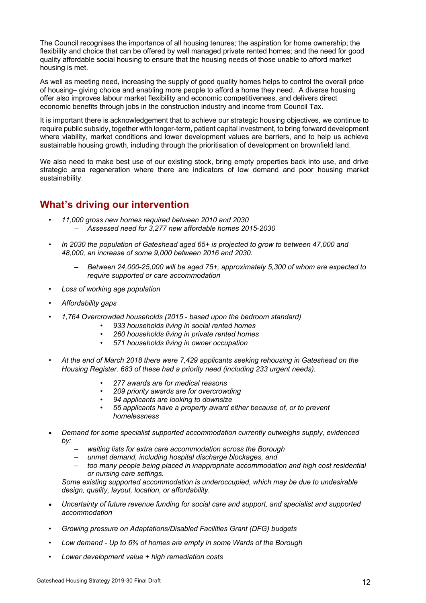The Council recognises the importance of all housing tenures; the aspiration for home ownership; the flexibility and choice that can be offered by well managed private rented homes; and the need for good quality affordable social housing to ensure that the housing needs of those unable to afford market housing is met.

As well as meeting need, increasing the supply of good quality homes helps to control the overall price of housing– giving choice and enabling more people to afford a home they need. A diverse housing offer also improves labour market flexibility and economic competitiveness, and delivers direct economic benefits through jobs in the construction industry and income from Council Tax.

It is important there is acknowledgement that to achieve our strategic housing objectives, we continue to require public subsidy, together with longer-term, patient capital investment, to bring forward development where viability, market conditions and lower development values are barriers, and to help us achieve sustainable housing growth, including through the prioritisation of development on brownfield land.

We also need to make best use of our existing stock, bring empty properties back into use, and drive strategic area regeneration where there are indicators of low demand and poor housing market sustainability.

### **What's driving our intervention**

- *11,000 gross new homes required between 2010 and 2030* – *Assessed need for 3,277 new affordable homes 2015-2030*
- *In 2030 the population of Gateshead aged 65+ is projected to grow to between 47,000 and 48,000, an increase of some 9,000 between 2016 and 2030.*
	- *Between 24,000-25,000 will be aged 75+, approximately 5,300 of whom are expected to require supported or care accommodation*
- *Loss of working age population*
- *Affordability gaps*
- *1,764 Overcrowded households (2015 - based upon the bedroom standard)* 
	- *933 households living in social rented homes*
	- *260 households living in private rented homes*
	- *571 households living in owner occupation*
- *At the end of March 2018 there were 7,429 applicants seeking rehousing in Gateshead on the Housing Register. 683 of these had a priority need (including 233 urgent needs).*
	- *277 awards are for medical reasons*
	- *209 priority awards are for overcrowding*
	- *94 applicants are looking to downsize*
	- *55 applicants have a property award either because of, or to prevent homelessness*
- *Demand for some specialist supported accommodation currently outweighs supply, evidenced by:*
	- *waiting lists for extra care accommodation across the Borough*
	- *unmet demand, including hospital discharge blockages, and*
	- *too many people being placed in inappropriate accommodation and high cost residential or nursing care settings.*

*Some existing supported accommodation is underoccupied, which may be due to undesirable design, quality, layout, location, or affordability.*

- *Uncertainty of future revenue funding for social care and support, and specialist and supported accommodation*
- *Growing pressure on Adaptations/Disabled Facilities Grant (DFG) budgets*
- *Low demand - Up to 6% of homes are empty in some Wards of the Borough*
- *Lower development value + high remediation costs*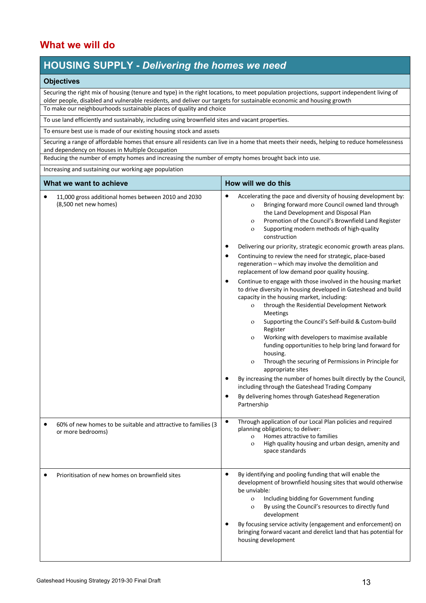### **What we will do**

### **HOUSING SUPPLY -** *Delivering the homes we need*

#### **Objectives**

Securing the right mix of housing (tenure and type) in the right locations, to meet population projections, support independent living of older people, disabled and vulnerable residents, and deliver our targets for sustainable economic and housing growth To make our neighbourhoods sustainable places of quality and choice

To use land efficiently and sustainably, including using brownfield sites and vacant properties.

To ensure best use is made of our existing housing stock and assets

Securing a range of affordable homes that ensure all residents can live in a home that meets their needs, helping to reduce homelessness and dependency on Houses in Multiple Occupation

Reducing the number of empty homes and increasing the number of empty homes brought back into use.

Increasing and sustaining our working age population

| What we want to achieve                                                            | How will we do this                                                                                                                                                                                                                                                                                                                                                                                                                                                                                                                                                                                                                                                                                                                                                                                                                                                                                                                                                                                                                                                                                                                                                                                                                                                                                                                                               |
|------------------------------------------------------------------------------------|-------------------------------------------------------------------------------------------------------------------------------------------------------------------------------------------------------------------------------------------------------------------------------------------------------------------------------------------------------------------------------------------------------------------------------------------------------------------------------------------------------------------------------------------------------------------------------------------------------------------------------------------------------------------------------------------------------------------------------------------------------------------------------------------------------------------------------------------------------------------------------------------------------------------------------------------------------------------------------------------------------------------------------------------------------------------------------------------------------------------------------------------------------------------------------------------------------------------------------------------------------------------------------------------------------------------------------------------------------------------|
| 11,000 gross additional homes between 2010 and 2030<br>(8,500 net new homes)       | Accelerating the pace and diversity of housing development by:<br>$\bullet$<br>Bringing forward more Council owned land through<br>$\mathbf{o}$<br>the Land Development and Disposal Plan<br>Promotion of the Council's Brownfield Land Register<br>$\mathbf{o}$<br>Supporting modern methods of high-quality<br>$\mathbf{o}$<br>construction<br>Delivering our priority, strategic economic growth areas plans.<br>Continuing to review the need for strategic, place-based<br>regeneration - which may involve the demolition and<br>replacement of low demand poor quality housing.<br>Continue to engage with those involved in the housing market<br>to drive diversity in housing developed in Gateshead and build<br>capacity in the housing market, including:<br>through the Residential Development Network<br>$\mathbf{o}$<br>Meetings<br>Supporting the Council's Self-build & Custom-build<br>$\mathbf{O}$<br>Register<br>Working with developers to maximise available<br>$\mathbf{O}$<br>funding opportunities to help bring land forward for<br>housing.<br>Through the securing of Permissions in Principle for<br>$\mathbf{o}$<br>appropriate sites<br>By increasing the number of homes built directly by the Council,<br>including through the Gateshead Trading Company<br>By delivering homes through Gateshead Regeneration<br>Partnership |
| 60% of new homes to be suitable and attractive to families (3<br>or more bedrooms) | Through application of our Local Plan policies and required<br>$\bullet$<br>planning obligations; to deliver:<br>Homes attractive to families<br>$\mathbf{o}$<br>High quality housing and urban design, amenity and<br>$\mathbf{o}$<br>space standards                                                                                                                                                                                                                                                                                                                                                                                                                                                                                                                                                                                                                                                                                                                                                                                                                                                                                                                                                                                                                                                                                                            |
| Prioritisation of new homes on brownfield sites                                    | By identifying and pooling funding that will enable the<br>$\bullet$<br>development of brownfield housing sites that would otherwise<br>be unviable:<br>Including bidding for Government funding<br>$\mathbf O$<br>By using the Council's resources to directly fund<br>$\mathbf{O}$<br>development<br>By focusing service activity (engagement and enforcement) on<br>bringing forward vacant and derelict land that has potential for<br>housing development                                                                                                                                                                                                                                                                                                                                                                                                                                                                                                                                                                                                                                                                                                                                                                                                                                                                                                    |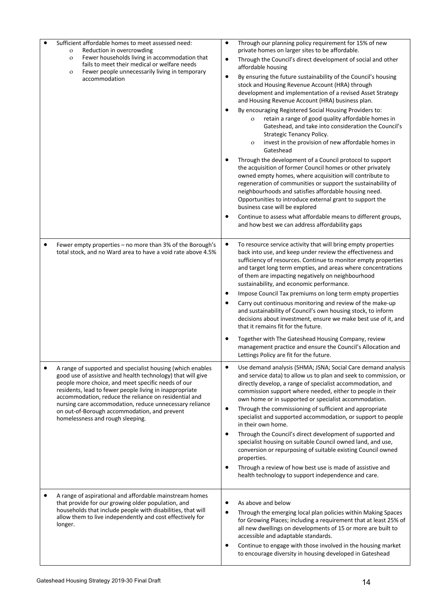|   | Sufficient affordable homes to meet assessed need:<br>Reduction in overcrowding<br>$\mathbf{o}$                                                                                                                                                                                                     | ٠         | Through our planning policy requirement for 15% of new<br>private homes on larger sites to be affordable.                                                                                                                                                                                                                                                                                                |
|---|-----------------------------------------------------------------------------------------------------------------------------------------------------------------------------------------------------------------------------------------------------------------------------------------------------|-----------|----------------------------------------------------------------------------------------------------------------------------------------------------------------------------------------------------------------------------------------------------------------------------------------------------------------------------------------------------------------------------------------------------------|
|   | Fewer households living in accommodation that<br>$\mathbf O$<br>fails to meet their medical or welfare needs<br>Fewer people unnecessarily living in temporary<br>$\mathbf O$<br>accommodation                                                                                                      | ٠         | Through the Council's direct development of social and other<br>affordable housing                                                                                                                                                                                                                                                                                                                       |
|   |                                                                                                                                                                                                                                                                                                     | $\bullet$ | By ensuring the future sustainability of the Council's housing<br>stock and Housing Revenue Account (HRA) through<br>development and implementation of a revised Asset Strategy<br>and Housing Revenue Account (HRA) business plan.                                                                                                                                                                      |
|   |                                                                                                                                                                                                                                                                                                     |           | By encouraging Registered Social Housing Providers to:<br>retain a range of good quality affordable homes in<br>$\mathbf{o}$<br>Gateshead, and take into consideration the Council's<br>Strategic Tenancy Policy.<br>invest in the provision of new affordable homes in<br>$\mathbf{O}$<br>Gateshead                                                                                                     |
|   |                                                                                                                                                                                                                                                                                                     |           | Through the development of a Council protocol to support<br>the acquisition of former Council homes or other privately<br>owned empty homes, where acquisition will contribute to<br>regeneration of communities or support the sustainability of<br>neighbourhoods and satisfies affordable housing need.<br>Opportunities to introduce external grant to support the<br>business case will be explored |
|   |                                                                                                                                                                                                                                                                                                     |           | Continue to assess what affordable means to different groups,<br>and how best we can address affordability gaps                                                                                                                                                                                                                                                                                          |
| ٠ | Fewer empty properties - no more than 3% of the Borough's<br>total stock, and no Ward area to have a void rate above 4.5%                                                                                                                                                                           | ٠         | To resource service activity that will bring empty properties<br>back into use, and keep under review the effectiveness and<br>sufficiency of resources. Continue to monitor empty properties<br>and target long term empties, and areas where concentrations<br>of them are impacting negatively on neighbourhood<br>sustainability, and economic performance.                                          |
|   |                                                                                                                                                                                                                                                                                                     |           | Impose Council Tax premiums on long term empty properties<br>Carry out continuous monitoring and review of the make-up<br>and sustainability of Council's own housing stock, to inform<br>decisions about investment, ensure we make best use of it, and<br>that it remains fit for the future.                                                                                                          |
|   |                                                                                                                                                                                                                                                                                                     |           | Together with The Gateshead Housing Company, review<br>management practice and ensure the Council's Allocation and<br>Lettings Policy are fit for the future.                                                                                                                                                                                                                                            |
|   | A range of supported and specialist housing (which enables<br>good use of assistive and health technology) that will give<br>people more choice, and meet specific needs of our<br>residents, lead to fewer people living in inappropriate<br>accommodation, reduce the reliance on residential and | ٠         | Use demand analysis (SHMA; JSNA; Social Care demand analysis<br>and service data) to allow us to plan and seek to commission, or<br>directly develop, a range of specialist accommodation, and<br>commission support where needed, either to people in their<br>own home or in supported or specialist accommodation.                                                                                    |
|   | nursing care accommodation, reduce unnecessary reliance<br>on out-of-Borough accommodation, and prevent<br>homelessness and rough sleeping.                                                                                                                                                         |           | Through the commissioning of sufficient and appropriate<br>specialist and supported accommodation, or support to people<br>in their own home.                                                                                                                                                                                                                                                            |
|   |                                                                                                                                                                                                                                                                                                     | ٠         | Through the Council's direct development of supported and<br>specialist housing on suitable Council owned land, and use,<br>conversion or repurposing of suitable existing Council owned<br>properties.                                                                                                                                                                                                  |
|   |                                                                                                                                                                                                                                                                                                     | ٠         | Through a review of how best use is made of assistive and<br>health technology to support independence and care.                                                                                                                                                                                                                                                                                         |
|   | A range of aspirational and affordable mainstream homes<br>that provide for our growing older population, and<br>households that include people with disabilities, that will<br>allow them to live independently and cost effectively for<br>longer.                                                | ٠         | As above and below<br>Through the emerging local plan policies within Making Spaces<br>for Growing Places; including a requirement that at least 25% of<br>all new dwellings on developments of 15 or more are built to<br>accessible and adaptable standards.<br>Continue to engage with those involved in the housing market<br>to encourage diversity in housing developed in Gateshead               |
|   |                                                                                                                                                                                                                                                                                                     |           |                                                                                                                                                                                                                                                                                                                                                                                                          |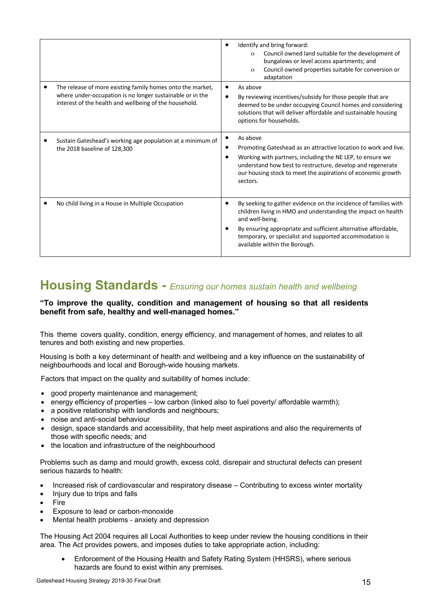|                                                                                                                                                                                   | Identify and bring forward:<br>Council owned land suitable for the development of<br>$\Omega$<br>bungalows or level access apartments; and<br>Council owned properties suitable for conversion or<br>$\Omega$<br>adaptation                                                                                       |
|-----------------------------------------------------------------------------------------------------------------------------------------------------------------------------------|-------------------------------------------------------------------------------------------------------------------------------------------------------------------------------------------------------------------------------------------------------------------------------------------------------------------|
| The release of more existing family homes onto the market,<br>where under-occupation is no longer sustainable or in the<br>interest of the health and wellbeing of the household. | As above<br>By reviewing incentives/subsidy for those people that are<br>deemed to be under occupying Council homes and considering<br>solutions that will deliver affordable and sustainable housing<br>options for households.                                                                                  |
| Sustain Gateshead's working age population at a minimum of<br>the 2018 baseline of 128,300                                                                                        | As above<br>Promoting Gateshead as an attractive location to work and live.<br>Working with partners, including the NE LEP, to ensure we<br>understand how best to restructure, develop and regenerate<br>our housing stock to meet the aspirations of economic growth<br>sectors.                                |
| No child living in a House in Multiple Occupation                                                                                                                                 | By seeking to gather evidence on the incidence of families with<br>children living in HMO and understanding the impact on health<br>and well-being.<br>By ensuring appropriate and sufficient alternative affordable,<br>temporary, or specialist and supported accommodation is<br>available within the Borough. |

### **Housing Standards -** *Ensuring our homes sustain health and wellbeing*

#### **"To improve the quality, condition and management of housing so that all residents benefit from safe, healthy and well-managed homes."**

This theme covers quality, condition, energy efficiency, and management of homes, and relates to all tenures and both existing and new properties.

Housing is both a key determinant of health and wellbeing and a key influence on the sustainability of neighbourhoods and local and Borough-wide housing markets.

Factors that impact on the quality and suitability of homes include:

- good property maintenance and management;
- energy efficiency of properties low carbon (linked also to fuel poverty/ affordable warmth);
- a positive relationship with landlords and neighbours;
- noise and anti-social behaviour
- design, space standards and accessibility, that help meet aspirations and also the requirements of those with specific needs; and
- the location and infrastructure of the neighbourhood

Problems such as damp and mould growth, excess cold, disrepair and structural defects can present serious hazards to health:

- Increased risk of cardiovascular and respiratory disease Contributing to excess winter mortality
- Injury due to trips and falls
- **Fire**
- Exposure to lead or carbon-monoxide
- Mental health problems anxiety and depression

The Housing Act 2004 requires all Local Authorities to keep under review the housing conditions in their area. The Act provides powers, and imposes duties to take appropriate action, including:

• Enforcement of the Housing Health and Safety Rating System (HHSRS), where serious hazards are found to exist within any premises.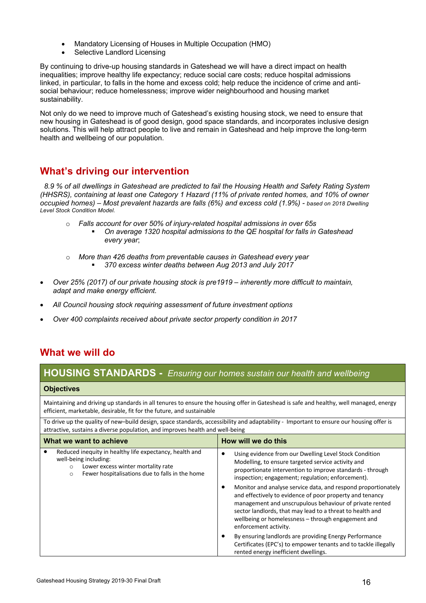- Mandatory Licensing of Houses in Multiple Occupation (HMO)
- Selective Landlord Licensing

By continuing to drive-up housing standards in Gateshead we will have a direct impact on health inequalities; improve healthy life expectancy; reduce social care costs; reduce hospital admissions linked, in particular, to falls in the home and excess cold; help reduce the incidence of crime and antisocial behaviour; reduce homelessness; improve wider neighbourhood and housing market sustainability.

Not only do we need to improve much of Gateshead's existing housing stock, we need to ensure that new housing in Gateshead is of good design, good space standards, and incorporates inclusive design solutions. This will help attract people to live and remain in Gateshead and help improve the long-term health and wellbeing of our population.

### **What's driving our intervention**

 *8.9 % of all dwellings in Gateshead are predicted to fail the Housing Health and Safety Rating System (HHSRS), containing at least one Category 1 Hazard (11% of private rented homes, and 10% of owner occupied homes) – Most prevalent hazards are falls (6%) and excess cold (1.9%) - based on 2018 Dwelling Level Stock Condition Model.*

- o *Falls account for over 50% of injury-related hospital admissions in over 65s*
	- § *On average 1320 hospital admissions to the QE hospital for falls in Gateshead every year*;
- o *More than 426 deaths from preventable causes in Gateshead every year* 
	- § *370 excess winter deaths between Aug 2013 and July 2017*
- *Over 25% (2017) of our private housing stock is pre1919 – inherently more difficult to maintain, adapt and make energy efficient.*
- *All Council housing stock requiring assessment of future investment options*
- *Over 400 complaints received about private sector property condition in 2017*

### **What we will do**

### **HOUSING STANDARDS -***- Ensuring our homes sustain our health and wellbeing*

#### **Objectives**

Maintaining and driving up standards in all tenures to ensure the housing offer in Gateshead is safe and healthy, well managed, energy efficient, marketable, desirable, fit for the future, and sustainable

To drive up the quality of new–build design, space standards, accessibility and adaptability - Important to ensure our housing offer is attractive, sustains a diverse population, and improves health and well-being

| What we want to achieve                                                                                                                                                                         | How will we do this                                                                                                                                                                                                                                                                                                                                                   |
|-------------------------------------------------------------------------------------------------------------------------------------------------------------------------------------------------|-----------------------------------------------------------------------------------------------------------------------------------------------------------------------------------------------------------------------------------------------------------------------------------------------------------------------------------------------------------------------|
| Reduced inequity in healthy life expectancy, health and<br>well-being including:<br>Lower excess winter mortality rate<br>$\circ$<br>Fewer hospitalisations due to falls in the home<br>$\circ$ | Using evidence from our Dwelling Level Stock Condition<br>٠<br>Modelling, to ensure targeted service activity and<br>proportionate intervention to improve standards - through<br>inspection; engagement; regulation; enforcement).<br>Monitor and analyse service data, and respond proportionately<br>٠<br>and effectively to evidence of poor property and tenancy |
|                                                                                                                                                                                                 | management and unscrupulous behaviour of private rented<br>sector landlords, that may lead to a threat to health and<br>wellbeing or homelessness - through engagement and<br>enforcement activity.                                                                                                                                                                   |
|                                                                                                                                                                                                 | By ensuring landlords are providing Energy Performance<br>٠<br>Certificates (EPC's) to empower tenants and to tackle illegally<br>rented energy inefficient dwellings.                                                                                                                                                                                                |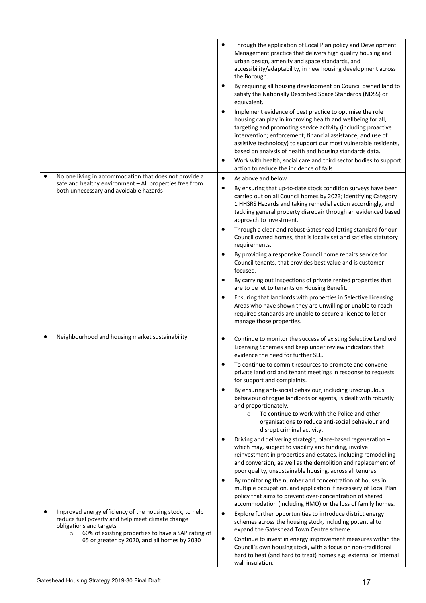|           |                                                                                                                   | ٠         | Through the application of Local Plan policy and Development<br>Management practice that delivers high quality housing and<br>urban design, amenity and space standards, and<br>accessibility/adaptability, in new housing development across<br>the Borough.                                                                                                                         |
|-----------|-------------------------------------------------------------------------------------------------------------------|-----------|---------------------------------------------------------------------------------------------------------------------------------------------------------------------------------------------------------------------------------------------------------------------------------------------------------------------------------------------------------------------------------------|
|           |                                                                                                                   | ٠         | By requiring all housing development on Council owned land to<br>satisfy the Nationally Described Space Standards (NDSS) or<br>equivalent.                                                                                                                                                                                                                                            |
|           |                                                                                                                   | ٠         | Implement evidence of best practice to optimise the role<br>housing can play in improving health and wellbeing for all,<br>targeting and promoting service activity (including proactive<br>intervention; enforcement; financial assistance; and use of<br>assistive technology) to support our most vulnerable residents,<br>based on analysis of health and housing standards data. |
|           |                                                                                                                   | $\bullet$ | Work with health, social care and third sector bodies to support<br>action to reduce the incidence of falls                                                                                                                                                                                                                                                                           |
|           | No one living in accommodation that does not provide a<br>safe and healthy environment - All properties free from | $\bullet$ | As above and below                                                                                                                                                                                                                                                                                                                                                                    |
|           | both unnecessary and avoidable hazards                                                                            | $\bullet$ | By ensuring that up-to-date stock condition surveys have been<br>carried out on all Council homes by 2023; identifying Category<br>1 HHSRS Hazards and taking remedial action accordingly, and<br>tackling general property disrepair through an evidenced based<br>approach to investment.                                                                                           |
|           |                                                                                                                   | ٠         | Through a clear and robust Gateshead letting standard for our<br>Council owned homes, that is locally set and satisfies statutory<br>requirements.                                                                                                                                                                                                                                    |
|           |                                                                                                                   | $\bullet$ | By providing a responsive Council home repairs service for<br>Council tenants, that provides best value and is customer<br>focused.                                                                                                                                                                                                                                                   |
|           |                                                                                                                   | ٠         | By carrying out inspections of private rented properties that<br>are to be let to tenants on Housing Benefit.                                                                                                                                                                                                                                                                         |
|           |                                                                                                                   | $\bullet$ | Ensuring that landlords with properties in Selective Licensing<br>Areas who have shown they are unwilling or unable to reach<br>required standards are unable to secure a licence to let or<br>manage those properties.                                                                                                                                                               |
| $\bullet$ | Neighbourhood and housing market sustainability                                                                   | $\bullet$ | Continue to monitor the success of existing Selective Landlord<br>Licensing Schemes and keep under review indicators that<br>evidence the need for further SLL.                                                                                                                                                                                                                       |
|           |                                                                                                                   | ٠         | To continue to commit resources to promote and convene<br>private landlord and tenant meetings in response to requests<br>for support and complaints.                                                                                                                                                                                                                                 |
|           |                                                                                                                   | ٠         | By ensuring anti-social behaviour, including unscrupulous<br>behaviour of rogue landlords or agents, is dealt with robustly<br>and proportionately.                                                                                                                                                                                                                                   |
|           |                                                                                                                   |           | To continue to work with the Police and other<br>$\Omega$<br>organisations to reduce anti-social behaviour and<br>disrupt criminal activity.                                                                                                                                                                                                                                          |
|           |                                                                                                                   | ٠         | Driving and delivering strategic, place-based regeneration -<br>which may, subject to viability and funding, involve<br>reinvestment in properties and estates, including remodelling<br>and conversion, as well as the demolition and replacement of<br>poor quality, unsustainable housing, across all tenures.                                                                     |
|           |                                                                                                                   | ٠         | By monitoring the number and concentration of houses in<br>multiple occupation, and application if necessary of Local Plan<br>policy that aims to prevent over-concentration of shared<br>accommodation (including HMO) or the loss of family homes.                                                                                                                                  |
|           | Improved energy efficiency of the housing stock, to help                                                          | $\bullet$ | Explore further opportunities to introduce district energy                                                                                                                                                                                                                                                                                                                            |
|           | reduce fuel poverty and help meet climate change<br>obligations and targets                                       |           | schemes across the housing stock, including potential to<br>expand the Gateshead Town Centre scheme.                                                                                                                                                                                                                                                                                  |
|           | 60% of existing properties to have a SAP rating of<br>$\circ$<br>65 or greater by 2020, and all homes by 2030     | $\bullet$ | Continue to invest in energy improvement measures within the                                                                                                                                                                                                                                                                                                                          |
|           |                                                                                                                   |           | Council's own housing stock, with a focus on non-traditional<br>hard to heat (and hard to treat) homes e.g. external or internal<br>wall insulation.                                                                                                                                                                                                                                  |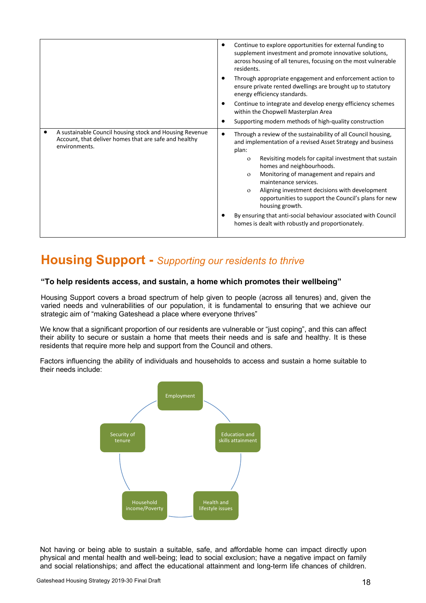|                                                                                                                                   | Continue to explore opportunities for external funding to<br>supplement investment and promote innovative solutions,<br>across housing of all tenures, focusing on the most vulnerable<br>residents.<br>Through appropriate engagement and enforcement action to<br>٠<br>ensure private rented dwellings are brought up to statutory<br>energy efficiency standards.<br>Continue to integrate and develop energy efficiency schemes<br>٠<br>within the Chopwell Masterplan Area                                                                                                                                    |
|-----------------------------------------------------------------------------------------------------------------------------------|--------------------------------------------------------------------------------------------------------------------------------------------------------------------------------------------------------------------------------------------------------------------------------------------------------------------------------------------------------------------------------------------------------------------------------------------------------------------------------------------------------------------------------------------------------------------------------------------------------------------|
|                                                                                                                                   | Supporting modern methods of high-quality construction                                                                                                                                                                                                                                                                                                                                                                                                                                                                                                                                                             |
| A sustainable Council housing stock and Housing Revenue<br>Account, that deliver homes that are safe and healthy<br>environments. | Through a review of the sustainability of all Council housing,<br>$\bullet$<br>and implementation of a revised Asset Strategy and business<br>plan:<br>Revisiting models for capital investment that sustain<br>$\mathbf{O}$<br>homes and neighbourhoods.<br>Monitoring of management and repairs and<br>$\mathbf{O}$<br>maintenance services.<br>Aligning investment decisions with development<br>$\mathbf{o}$<br>opportunities to support the Council's plans for new<br>housing growth.<br>By ensuring that anti-social behaviour associated with Council<br>homes is dealt with robustly and proportionately. |

### **Housing Support -** *Supporting our residents to thrive*

#### **"To help residents access, and sustain, a home which promotes their wellbeing"**

Housing Support covers a broad spectrum of help given to people (across all tenures) and, given the varied needs and vulnerabilities of our population, it is fundamental to ensuring that we achieve our strategic aim of "making Gateshead a place where everyone thrives"

We know that a significant proportion of our residents are vulnerable or "just coping", and this can affect their ability to secure or sustain a home that meets their needs and is safe and healthy. It is these residents that require more help and support from the Council and others.

Factors influencing the ability of individuals and households to access and sustain a home suitable to their needs include:



Not having or being able to sustain a suitable, safe, and affordable home can impact directly upon physical and mental health and well-being; lead to social exclusion; have a negative impact on family and social relationships; and affect the educational attainment and long-term life chances of children.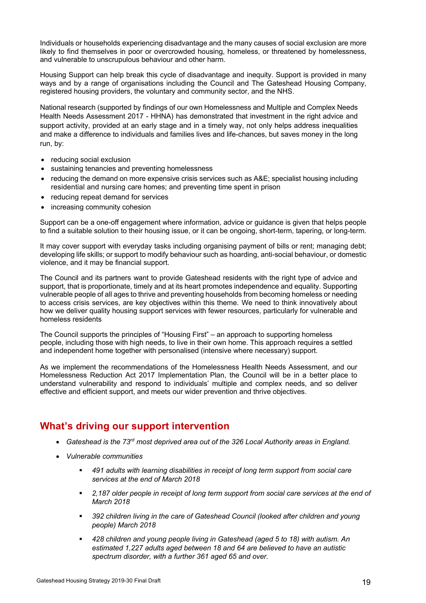Individuals or households experiencing disadvantage and the many causes of social exclusion are more likely to find themselves in poor or overcrowded housing, homeless, or threatened by homelessness, and vulnerable to unscrupulous behaviour and other harm.

Housing Support can help break this cycle of disadvantage and inequity. Support is provided in many ways and by a range of organisations including the Council and The Gateshead Housing Company, registered housing providers, the voluntary and community sector, and the NHS.

National research (supported by findings of our own Homelessness and Multiple and Complex Needs Health Needs Assessment 2017 - HHNA) has demonstrated that investment in the right advice and support activity, provided at an early stage and in a timely way, not only helps address inequalities and make a difference to individuals and families lives and life-chances, but saves money in the long run, by:

- reducing social exclusion
- sustaining tenancies and preventing homelessness
- reducing the demand on more expensive crisis services such as A&E; specialist housing including residential and nursing care homes; and preventing time spent in prison
- reducing repeat demand for services
- increasing community cohesion

Support can be a one-off engagement where information, advice or guidance is given that helps people to find a suitable solution to their housing issue, or it can be ongoing, short-term, tapering, or long-term.

It may cover support with everyday tasks including organising payment of bills or rent; managing debt; developing life skills; or support to modify behaviour such as hoarding, anti-social behaviour, or domestic violence, and it may be financial support.

The Council and its partners want to provide Gateshead residents with the right type of advice and support, that is proportionate, timely and at its heart promotes independence and equality. Supporting vulnerable people of all ages to thrive and preventing households from becoming homeless or needing to access crisis services, are key objectives within this theme. We need to think innovatively about how we deliver quality housing support services with fewer resources, particularly for vulnerable and homeless residents

The Council supports the principles of "Housing First" – an approach to supporting homeless people, including those with high needs, to live in their own home. This approach requires a settled and independent home together with personalised (intensive where necessary) support.

As we implement the recommendations of the Homelessness Health Needs Assessment, and our Homelessness Reduction Act 2017 Implementation Plan, the Council will be in a better place to understand vulnerability and respond to individuals' multiple and complex needs, and so deliver effective and efficient support, and meets our wider prevention and thrive objectives.

### **What's driving our support intervention**

- *Gateshead is the 73rd most deprived area out of the 326 Local Authority areas in England.*
- *Vulnerable communities*
	- § *491 adults with learning disabilities in receipt of long term support from social care services at the end of March 2018*
	- § *2,187 older people in receipt of long term support from social care services at the end of March 2018*
	- § *392 children living in the care of Gateshead Council (looked after children and young people) March 2018*
	- § *428 children and young people living in Gateshead (aged 5 to 18) with autism. An estimated 1,227 adults aged between 18 and 64 are believed to have an autistic spectrum disorder, with a further 361 aged 65 and over.*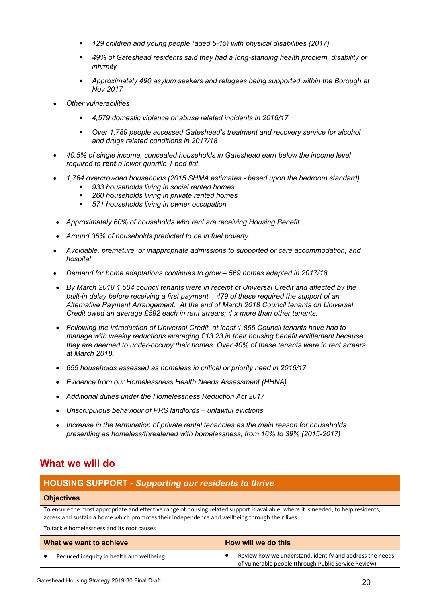- § *129 children and young people (aged 5-15) with physical disabilities (2017)*
- § *49% of Gateshead residents said they had a long-standing health problem, disability or infirmity*
- § *Approximately 490 asylum seekers and refugees being supported within the Borough at Nov 2017*
- *Other vulnerabilities*
	- § *4,579 domestic violence or abuse related incidents in 2016/17*
	- § *Over 1,789 people accessed Gateshead's treatment and recovery service for alcohol and drugs related conditions in 2017/18*
- *40.5% of single income, concealed households in Gateshead earn below the income level required to rent a lower quartile 1 bed flat.*
- *1,764 overcrowded households (2015 SHMA estimates - based upon the bedroom standard)* 
	- § *933 households living in social rented homes*
	- § *260 households living in private rented homes*
	- § *571 households living in owner occupation*
- *Approximately 60% of households who rent are receiving Housing Benefit.*
- *Around 36% of households predicted to be in fuel poverty*
- *Avoidable, premature, or inappropriate admissions to supported or care accommodation, and hospital*
- *Demand for home adaptations continues to grow – 569 homes adapted in 2017/18*
- *By March 2018 1,504 council tenants were in receipt of Universal Credit and affected by the built-in delay before receiving a first payment. 479 of these required the support of an Alternative Payment Arrangement. At the end of March 2018 Council tenants on Universal Credit owed an average £592 each in rent arrears; 4 x more than other tenants.*
- *Following the introduction of Universal Credit, at least 1,865 Council tenants have had to manage with weekly reductions averaging £13.23 in their housing benefit entitlement because they are deemed to under-occupy their homes. Over 40% of these tenants were in rent arrears at March 2018.*
- *655 households assessed as homeless in critical or priority need in 2016/17*
- *Evidence from our Homelessness Health Needs Assessment (HHNA)*
- *Additional duties under the Homelessness Reduction Act 2017*
- *Unscrupulous behaviour of PRS landlords – unlawful evictions*
- *Increase in the termination of private rental tenancies as the main reason for households presenting as homeless/threatened with homelessness; from 16% to 39% (2015-2017)*

### **What we will do**

| <b>HOUSING SUPPORT - Supporting our residents to thrive</b>                                                                                                                                                                          |                                                                                                                  |
|--------------------------------------------------------------------------------------------------------------------------------------------------------------------------------------------------------------------------------------|------------------------------------------------------------------------------------------------------------------|
| <b>Objectives</b>                                                                                                                                                                                                                    |                                                                                                                  |
| To ensure the most appropriate and effective range of housing related support is available, where it is needed, to help residents,<br>access and sustain a home which promotes their independence and wellbeing through their lives. |                                                                                                                  |
| To tackle homelessness and its root causes                                                                                                                                                                                           |                                                                                                                  |
| How will we do this<br>What we want to achieve                                                                                                                                                                                       |                                                                                                                  |
| Reduced inequity in health and wellbeing                                                                                                                                                                                             | Review how we understand, identify and address the needs<br>of vulnerable people (through Public Service Review) |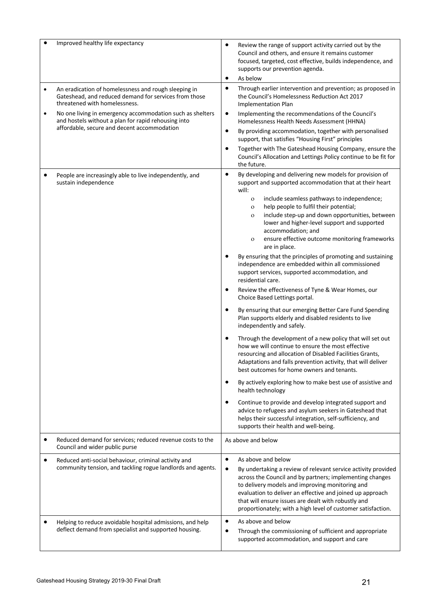|           | Improved healthy life expectancy                                                                                                                                | Review the range of support activity carried out by the<br>Council and others, and ensure it remains customer<br>focused, targeted, cost effective, builds independence, and<br>supports our prevention agenda.<br>As below<br>٠<br>Through earlier intervention and prevention; as proposed in<br>$\bullet$                                                                                                                                                                                                                                                                                                                                                                                                                                                                                                                                                                                                                                                                                                                                                                                                                                                                                                                                                                                                                                                                                                                                                                                                                             |
|-----------|-----------------------------------------------------------------------------------------------------------------------------------------------------------------|------------------------------------------------------------------------------------------------------------------------------------------------------------------------------------------------------------------------------------------------------------------------------------------------------------------------------------------------------------------------------------------------------------------------------------------------------------------------------------------------------------------------------------------------------------------------------------------------------------------------------------------------------------------------------------------------------------------------------------------------------------------------------------------------------------------------------------------------------------------------------------------------------------------------------------------------------------------------------------------------------------------------------------------------------------------------------------------------------------------------------------------------------------------------------------------------------------------------------------------------------------------------------------------------------------------------------------------------------------------------------------------------------------------------------------------------------------------------------------------------------------------------------------------|
| $\bullet$ | An eradication of homelessness and rough sleeping in<br>Gateshead, and reduced demand for services from those<br>threatened with homelessness.                  | the Council's Homelessness Reduction Act 2017<br><b>Implementation Plan</b>                                                                                                                                                                                                                                                                                                                                                                                                                                                                                                                                                                                                                                                                                                                                                                                                                                                                                                                                                                                                                                                                                                                                                                                                                                                                                                                                                                                                                                                              |
| $\bullet$ | No one living in emergency accommodation such as shelters<br>and hostels without a plan for rapid rehousing into<br>affordable, secure and decent accommodation | Implementing the recommendations of the Council's<br>$\bullet$<br>Homelessness Health Needs Assessment (HHNA)<br>By providing accommodation, together with personalised<br>$\bullet$<br>support, that satisfies "Housing First" principles<br>Together with The Gateshead Housing Company, ensure the<br>$\bullet$<br>Council's Allocation and Lettings Policy continue to be fit for<br>the future.                                                                                                                                                                                                                                                                                                                                                                                                                                                                                                                                                                                                                                                                                                                                                                                                                                                                                                                                                                                                                                                                                                                                     |
|           | People are increasingly able to live independently, and<br>sustain independence                                                                                 | $\bullet$<br>By developing and delivering new models for provision of<br>support and supported accommodation that at their heart<br>will:<br>include seamless pathways to independence;<br>$\mathbf O$<br>help people to fulfil their potential;<br>$\mathbf{O}$<br>include step-up and down opportunities, between<br>$\mathbf{o}$<br>lower and higher-level support and supported<br>accommodation; and<br>ensure effective outcome monitoring frameworks<br>$\mathbf O$<br>are in place.<br>By ensuring that the principles of promoting and sustaining<br>independence are embedded within all commissioned<br>support services, supported accommodation, and<br>residential care.<br>Review the effectiveness of Tyne & Wear Homes, our<br>Choice Based Lettings portal.<br>By ensuring that our emerging Better Care Fund Spending<br>Plan supports elderly and disabled residents to live<br>independently and safely.<br>Through the development of a new policy that will set out<br>how we will continue to ensure the most effective<br>resourcing and allocation of Disabled Facilities Grants,<br>Adaptations and falls prevention activity, that will deliver<br>best outcomes for home owners and tenants.<br>By actively exploring how to make best use of assistive and<br>health technology<br>Continue to provide and develop integrated support and<br>advice to refugees and asylum seekers in Gateshead that<br>helps their successful integration, self-sufficiency, and<br>supports their health and well-being. |
| ٠         | Reduced demand for services; reduced revenue costs to the<br>Council and wider public purse                                                                     | As above and below                                                                                                                                                                                                                                                                                                                                                                                                                                                                                                                                                                                                                                                                                                                                                                                                                                                                                                                                                                                                                                                                                                                                                                                                                                                                                                                                                                                                                                                                                                                       |
| ٠         | Reduced anti-social behaviour, criminal activity and<br>community tension, and tackling rogue landlords and agents.                                             | As above and below<br>$\bullet$<br>By undertaking a review of relevant service activity provided<br>across the Council and by partners; implementing changes<br>to delivery models and improving monitoring and<br>evaluation to deliver an effective and joined up approach<br>that will ensure issues are dealt with robustly and<br>proportionately; with a high level of customer satisfaction.                                                                                                                                                                                                                                                                                                                                                                                                                                                                                                                                                                                                                                                                                                                                                                                                                                                                                                                                                                                                                                                                                                                                      |
|           | Helping to reduce avoidable hospital admissions, and help<br>deflect demand from specialist and supported housing.                                              | As above and below<br>$\bullet$<br>Through the commissioning of sufficient and appropriate<br>٠<br>supported accommodation, and support and care                                                                                                                                                                                                                                                                                                                                                                                                                                                                                                                                                                                                                                                                                                                                                                                                                                                                                                                                                                                                                                                                                                                                                                                                                                                                                                                                                                                         |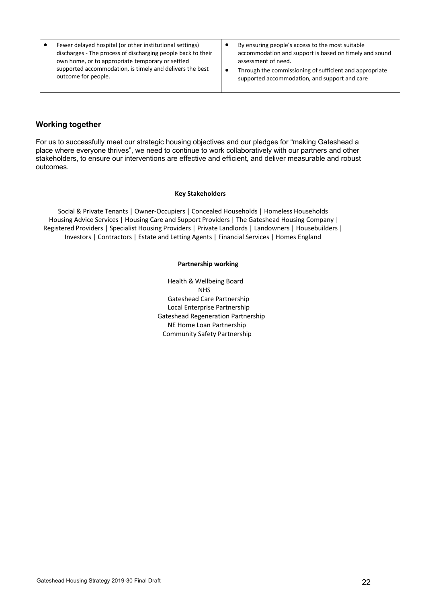| Fewer delayed hospital (or other institutional settings)     | By ensuring people's access to the most suitable        |
|--------------------------------------------------------------|---------------------------------------------------------|
| discharges - The process of discharging people back to their | accommodation and support is based on timely and sound  |
| own home, or to appropriate temporary or settled             | assessment of need.                                     |
| supported accommodation, is timely and delivers the best     | Through the commissioning of sufficient and appropriate |
| outcome for people.                                          | supported accommodation, and support and care           |

#### **Working together**

For us to successfully meet our strategic housing objectives and our pledges for "making Gateshead a place where everyone thrives", we need to continue to work collaboratively with our partners and other stakeholders, to ensure our interventions are effective and efficient, and deliver measurable and robust outcomes.

#### **Key Stakeholders**

Social & Private Tenants | Owner-Occupiers | Concealed Households | Homeless Households Housing Advice Services | Housing Care and Support Providers | The Gateshead Housing Company | Registered Providers | Specialist Housing Providers | Private Landlords | Landowners | Housebuilders | Investors | Contractors | Estate and Letting Agents | Financial Services | Homes England

#### **Partnership working**

Health & Wellbeing Board NHS Gateshead Care Partnership Local Enterprise Partnership Gateshead Regeneration Partnership NE Home Loan Partnership Community Safety Partnership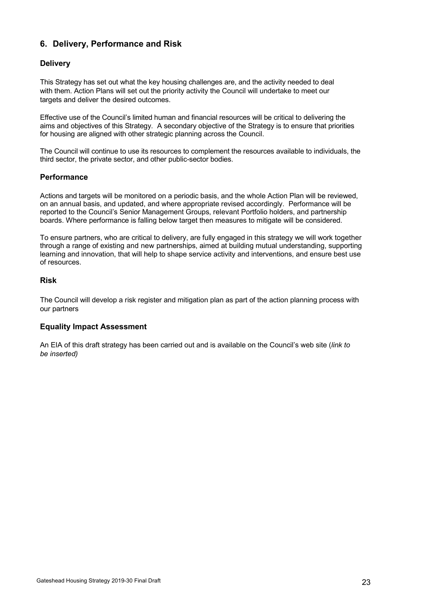### **6. Delivery, Performance and Risk**

#### **Delivery**

This Strategy has set out what the key housing challenges are, and the activity needed to deal with them. Action Plans will set out the priority activity the Council will undertake to meet our targets and deliver the desired outcomes.

Effective use of the Council's limited human and financial resources will be critical to delivering the aims and objectives of this Strategy. A secondary objective of the Strategy is to ensure that priorities for housing are aligned with other strategic planning across the Council.

The Council will continue to use its resources to complement the resources available to individuals, the third sector, the private sector, and other public-sector bodies.

#### **Performance**

Actions and targets will be monitored on a periodic basis, and the whole Action Plan will be reviewed, on an annual basis, and updated, and where appropriate revised accordingly. Performance will be reported to the Council's Senior Management Groups, relevant Portfolio holders, and partnership boards. Where performance is falling below target then measures to mitigate will be considered.

To ensure partners, who are critical to delivery, are fully engaged in this strategy we will work together through a range of existing and new partnerships, aimed at building mutual understanding, supporting learning and innovation, that will help to shape service activity and interventions, and ensure best use of resources.

#### **Risk**

The Council will develop a risk register and mitigation plan as part of the action planning process with our partners

#### **Equality Impact Assessment**

An EIA of this draft strategy has been carried out and is available on the Council's web site (*link to be inserted)*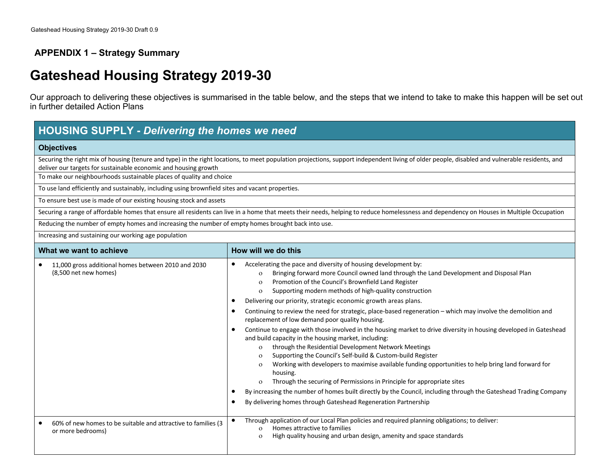### **APPENDIX 1 – Strategy Summary**

### **Gateshead Housing Strategy 2019-30**

Our approach to delivering these objectives is summarised in the table below, and the steps that we intend to take to make this happen will be set out in further detailed Action Plans

| <b>HOUSING SUPPLY - Delivering the homes we need</b>                                               |                                                                                                                                                                                                                                                                                                                                                                                                                                                                                                                                                                                                                                                                                                                                                                                                                                                                                                                                                                                                                                                                                                                                                                                                                                                                                                                                                 |  |  |
|----------------------------------------------------------------------------------------------------|-------------------------------------------------------------------------------------------------------------------------------------------------------------------------------------------------------------------------------------------------------------------------------------------------------------------------------------------------------------------------------------------------------------------------------------------------------------------------------------------------------------------------------------------------------------------------------------------------------------------------------------------------------------------------------------------------------------------------------------------------------------------------------------------------------------------------------------------------------------------------------------------------------------------------------------------------------------------------------------------------------------------------------------------------------------------------------------------------------------------------------------------------------------------------------------------------------------------------------------------------------------------------------------------------------------------------------------------------|--|--|
| <b>Objectives</b>                                                                                  |                                                                                                                                                                                                                                                                                                                                                                                                                                                                                                                                                                                                                                                                                                                                                                                                                                                                                                                                                                                                                                                                                                                                                                                                                                                                                                                                                 |  |  |
| deliver our targets for sustainable economic and housing growth                                    | Securing the right mix of housing (tenure and type) in the right locations, to meet population projections, support independent living of older people, disabled and vulnerable residents, and                                                                                                                                                                                                                                                                                                                                                                                                                                                                                                                                                                                                                                                                                                                                                                                                                                                                                                                                                                                                                                                                                                                                                  |  |  |
| To make our neighbourhoods sustainable places of quality and choice                                |                                                                                                                                                                                                                                                                                                                                                                                                                                                                                                                                                                                                                                                                                                                                                                                                                                                                                                                                                                                                                                                                                                                                                                                                                                                                                                                                                 |  |  |
| To use land efficiently and sustainably, including using brownfield sites and vacant properties.   |                                                                                                                                                                                                                                                                                                                                                                                                                                                                                                                                                                                                                                                                                                                                                                                                                                                                                                                                                                                                                                                                                                                                                                                                                                                                                                                                                 |  |  |
| To ensure best use is made of our existing housing stock and assets                                |                                                                                                                                                                                                                                                                                                                                                                                                                                                                                                                                                                                                                                                                                                                                                                                                                                                                                                                                                                                                                                                                                                                                                                                                                                                                                                                                                 |  |  |
|                                                                                                    | Securing a range of affordable homes that ensure all residents can live in a home that meets their needs, helping to reduce homelessness and dependency on Houses in Multiple Occupation                                                                                                                                                                                                                                                                                                                                                                                                                                                                                                                                                                                                                                                                                                                                                                                                                                                                                                                                                                                                                                                                                                                                                        |  |  |
| Reducing the number of empty homes and increasing the number of empty homes brought back into use. |                                                                                                                                                                                                                                                                                                                                                                                                                                                                                                                                                                                                                                                                                                                                                                                                                                                                                                                                                                                                                                                                                                                                                                                                                                                                                                                                                 |  |  |
| Increasing and sustaining our working age population                                               |                                                                                                                                                                                                                                                                                                                                                                                                                                                                                                                                                                                                                                                                                                                                                                                                                                                                                                                                                                                                                                                                                                                                                                                                                                                                                                                                                 |  |  |
| What we want to achieve                                                                            | How will we do this                                                                                                                                                                                                                                                                                                                                                                                                                                                                                                                                                                                                                                                                                                                                                                                                                                                                                                                                                                                                                                                                                                                                                                                                                                                                                                                             |  |  |
| 11,000 gross additional homes between 2010 and 2030<br>(8,500 net new homes)                       | Accelerating the pace and diversity of housing development by:<br>٠<br>Bringing forward more Council owned land through the Land Development and Disposal Plan<br>$\mathbf{o}$<br>Promotion of the Council's Brownfield Land Register<br>$\Omega$<br>Supporting modern methods of high-quality construction<br>$\mathbf{o}$<br>Delivering our priority, strategic economic growth areas plans.<br>$\bullet$<br>Continuing to review the need for strategic, place-based regeneration - which may involve the demolition and<br>$\bullet$<br>replacement of low demand poor quality housing.<br>Continue to engage with those involved in the housing market to drive diversity in housing developed in Gateshead<br>and build capacity in the housing market, including:<br>through the Residential Development Network Meetings<br>$\Omega$<br>Supporting the Council's Self-build & Custom-build Register<br>$\Omega$<br>Working with developers to maximise available funding opportunities to help bring land forward for<br>$\Omega$<br>housing.<br>Through the securing of Permissions in Principle for appropriate sites<br>By increasing the number of homes built directly by the Council, including through the Gateshead Trading Company<br>$\bullet$<br>By delivering homes through Gateshead Regeneration Partnership<br>$\bullet$ |  |  |
| 60% of new homes to be suitable and attractive to families (3<br>or more bedrooms)                 | Through application of our Local Plan policies and required planning obligations; to deliver:<br>$\bullet$<br>Homes attractive to families<br>$\Omega$<br>High quality housing and urban design, amenity and space standards<br>$\mathbf{o}$                                                                                                                                                                                                                                                                                                                                                                                                                                                                                                                                                                                                                                                                                                                                                                                                                                                                                                                                                                                                                                                                                                    |  |  |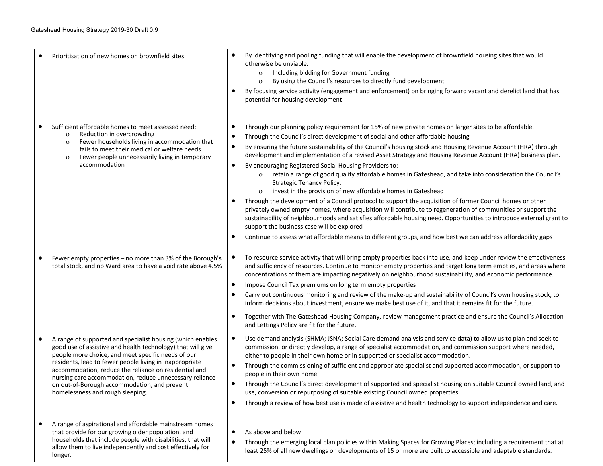| Prioritisation of new homes on brownfield sites                                                                                                                                                                                                                                                                                                                                                                                                                 | By identifying and pooling funding that will enable the development of brownfield housing sites that would<br>otherwise be unviable:<br>Including bidding for Government funding<br>$\mathbf{o}$<br>By using the Council's resources to directly fund development<br>$\mathbf{o}$<br>By focusing service activity (engagement and enforcement) on bringing forward vacant and derelict land that has<br>potential for housing development                                                                                                                                                                                                                                                                                                                                                                                                                                                                                                                                                                                                                                                                                                                                                                                                                 |
|-----------------------------------------------------------------------------------------------------------------------------------------------------------------------------------------------------------------------------------------------------------------------------------------------------------------------------------------------------------------------------------------------------------------------------------------------------------------|-----------------------------------------------------------------------------------------------------------------------------------------------------------------------------------------------------------------------------------------------------------------------------------------------------------------------------------------------------------------------------------------------------------------------------------------------------------------------------------------------------------------------------------------------------------------------------------------------------------------------------------------------------------------------------------------------------------------------------------------------------------------------------------------------------------------------------------------------------------------------------------------------------------------------------------------------------------------------------------------------------------------------------------------------------------------------------------------------------------------------------------------------------------------------------------------------------------------------------------------------------------|
| Sufficient affordable homes to meet assessed need:<br>Reduction in overcrowding<br>$\mathbf{o}$<br>Fewer households living in accommodation that<br>$\mathbf{o}$<br>fails to meet their medical or welfare needs<br>Fewer people unnecessarily living in temporary<br>$\mathbf{O}$<br>accommodation                                                                                                                                                             | Through our planning policy requirement for 15% of new private homes on larger sites to be affordable.<br>$\bullet$<br>Through the Council's direct development of social and other affordable housing<br>By ensuring the future sustainability of the Council's housing stock and Housing Revenue Account (HRA) through<br>development and implementation of a revised Asset Strategy and Housing Revenue Account (HRA) business plan.<br>By encouraging Registered Social Housing Providers to:<br>$\bullet$<br>retain a range of good quality affordable homes in Gateshead, and take into consideration the Council's<br>$\mathbf{o}$<br>Strategic Tenancy Policy.<br>invest in the provision of new affordable homes in Gateshead<br>Through the development of a Council protocol to support the acquisition of former Council homes or other<br>privately owned empty homes, where acquisition will contribute to regeneration of communities or support the<br>sustainability of neighbourhoods and satisfies affordable housing need. Opportunities to introduce external grant to<br>support the business case will be explored<br>Continue to assess what affordable means to different groups, and how best we can address affordability gaps |
| Fewer empty properties - no more than 3% of the Borough's<br>$\bullet$<br>total stock, and no Ward area to have a void rate above 4.5%                                                                                                                                                                                                                                                                                                                          | To resource service activity that will bring empty properties back into use, and keep under review the effectiveness<br>and sufficiency of resources. Continue to monitor empty properties and target long term empties, and areas where<br>concentrations of them are impacting negatively on neighbourhood sustainability, and economic performance.<br>Impose Council Tax premiums on long term empty properties<br>$\bullet$<br>Carry out continuous monitoring and review of the make-up and sustainability of Council's own housing stock, to<br>$\bullet$<br>inform decisions about investment, ensure we make best use of it, and that it remains fit for the future.<br>Together with The Gateshead Housing Company, review management practice and ensure the Council's Allocation<br>$\bullet$<br>and Lettings Policy are fit for the future.                                                                                                                                                                                                                                                                                                                                                                                                  |
| A range of supported and specialist housing (which enables<br>$\bullet$<br>good use of assistive and health technology) that will give<br>people more choice, and meet specific needs of our<br>residents, lead to fewer people living in inappropriate<br>accommodation, reduce the reliance on residential and<br>nursing care accommodation, reduce unnecessary reliance<br>on out-of-Borough accommodation, and prevent<br>homelessness and rough sleeping. | Use demand analysis (SHMA; JSNA; Social Care demand analysis and service data) to allow us to plan and seek to<br>commission, or directly develop, a range of specialist accommodation, and commission support where needed,<br>either to people in their own home or in supported or specialist accommodation.<br>Through the commissioning of sufficient and appropriate specialist and supported accommodation, or support to<br>people in their own home.<br>Through the Council's direct development of supported and specialist housing on suitable Council owned land, and<br>$\bullet$<br>use, conversion or repurposing of suitable existing Council owned properties.<br>Through a review of how best use is made of assistive and health technology to support independence and care.<br>$\bullet$                                                                                                                                                                                                                                                                                                                                                                                                                                             |
| A range of aspirational and affordable mainstream homes<br>$\bullet$<br>that provide for our growing older population, and<br>households that include people with disabilities, that will<br>allow them to live independently and cost effectively for<br>longer.                                                                                                                                                                                               | As above and below<br>$\bullet$<br>$\bullet$<br>Through the emerging local plan policies within Making Spaces for Growing Places; including a requirement that at<br>least 25% of all new dwellings on developments of 15 or more are built to accessible and adaptable standards.                                                                                                                                                                                                                                                                                                                                                                                                                                                                                                                                                                                                                                                                                                                                                                                                                                                                                                                                                                        |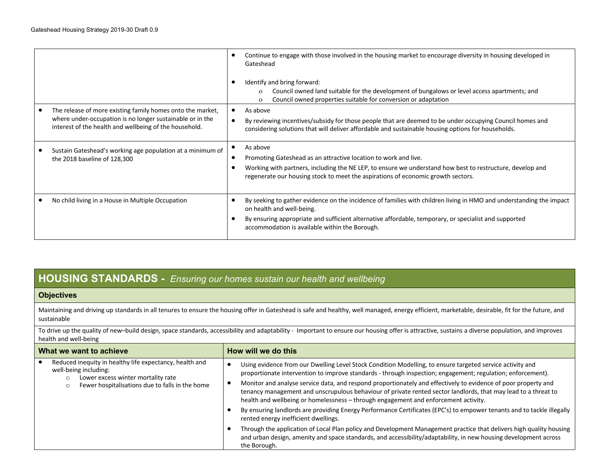|                                                                                                                                                                                   | ٠              | Continue to engage with those involved in the housing market to encourage diversity in housing developed in<br>Gateshead<br>Identify and bring forward:<br>Council owned land suitable for the development of bungalows or level access apartments; and<br>$\Omega$<br>Council owned properties suitable for conversion or adaptation<br>$\Omega$ |
|-----------------------------------------------------------------------------------------------------------------------------------------------------------------------------------|----------------|---------------------------------------------------------------------------------------------------------------------------------------------------------------------------------------------------------------------------------------------------------------------------------------------------------------------------------------------------|
| The release of more existing family homes onto the market,<br>where under-occupation is no longer sustainable or in the<br>interest of the health and wellbeing of the household. |                | As above<br>By reviewing incentives/subsidy for those people that are deemed to be under occupying Council homes and<br>considering solutions that will deliver affordable and sustainable housing options for households.                                                                                                                        |
| Sustain Gateshead's working age population at a minimum of<br>the 2018 baseline of 128,300                                                                                        |                | As above<br>Promoting Gateshead as an attractive location to work and live.<br>Working with partners, including the NE LEP, to ensure we understand how best to restructure, develop and<br>regenerate our housing stock to meet the aspirations of economic growth sectors.                                                                      |
| No child living in a House in Multiple Occupation                                                                                                                                 | ٠<br>$\bullet$ | By seeking to gather evidence on the incidence of families with children living in HMO and understanding the impact<br>on health and well-being.<br>By ensuring appropriate and sufficient alternative affordable, temporary, or specialist and supported<br>accommodation is available within the Borough.                                       |

### **HOUSING STANDARDS -***- Ensuring our homes sustain our health and wellbeing*

#### **Objectives**

Maintaining and driving up standards in all tenures to ensure the housing offer in Gateshead is safe and healthy, well managed, energy efficient, marketable, desirable, fit for the future, and sustainable

To drive up the quality of new-build design, space standards, accessibility and adaptability - Important to ensure our housing offer is attractive, sustains a diverse population, and improves health and well-being

| What we want to achieve                                                                                                           | How will we do this                                                                                                                                                                                                                                                                                                     |  |
|-----------------------------------------------------------------------------------------------------------------------------------|-------------------------------------------------------------------------------------------------------------------------------------------------------------------------------------------------------------------------------------------------------------------------------------------------------------------------|--|
| Reduced inequity in healthy life expectancy, health and<br>well-being including:<br>Lower excess winter mortality rate<br>$\circ$ | Using evidence from our Dwelling Level Stock Condition Modelling, to ensure targeted service activity and<br>proportionate intervention to improve standards - through inspection; engagement; regulation; enforcement).                                                                                                |  |
| Fewer hospitalisations due to falls in the home<br>O                                                                              | Monitor and analyse service data, and respond proportionately and effectively to evidence of poor property and<br>tenancy management and unscrupulous behaviour of private rented sector landlords, that may lead to a threat to<br>health and wellbeing or homelessness – through engagement and enforcement activity. |  |
|                                                                                                                                   | By ensuring landlords are providing Energy Performance Certificates (EPC's) to empower tenants and to tackle illegally<br>rented energy inefficient dwellings.                                                                                                                                                          |  |
|                                                                                                                                   | Through the application of Local Plan policy and Development Management practice that delivers high quality housing<br>and urban design, amenity and space standards, and accessibility/adaptability, in new housing development across<br>the Borough.                                                                 |  |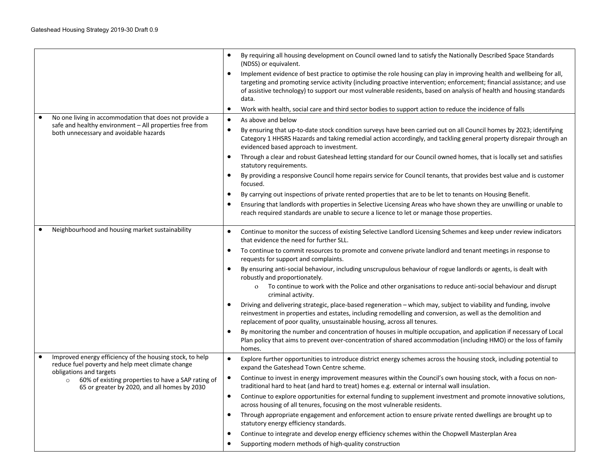|                                                                                                                                         | By requiring all housing development on Council owned land to satisfy the Nationally Described Space Standards<br>٠<br>(NDSS) or equivalent.                                                                                                                                                                                                                                         |
|-----------------------------------------------------------------------------------------------------------------------------------------|--------------------------------------------------------------------------------------------------------------------------------------------------------------------------------------------------------------------------------------------------------------------------------------------------------------------------------------------------------------------------------------|
|                                                                                                                                         | Implement evidence of best practice to optimise the role housing can play in improving health and wellbeing for all,<br>٠<br>targeting and promoting service activity (including proactive intervention; enforcement; financial assistance; and use<br>of assistive technology) to support our most vulnerable residents, based on analysis of health and housing standards<br>data. |
|                                                                                                                                         | Work with health, social care and third sector bodies to support action to reduce the incidence of falls<br>٠                                                                                                                                                                                                                                                                        |
| No one living in accommodation that does not provide a<br>safe and healthy environment - All properties free from                       | As above and below<br>$\bullet$                                                                                                                                                                                                                                                                                                                                                      |
| both unnecessary and avoidable hazards                                                                                                  | By ensuring that up-to-date stock condition surveys have been carried out on all Council homes by 2023; identifying<br>$\bullet$<br>Category 1 HHSRS Hazards and taking remedial action accordingly, and tackling general property disrepair through an<br>evidenced based approach to investment.                                                                                   |
|                                                                                                                                         | Through a clear and robust Gateshead letting standard for our Council owned homes, that is locally set and satisfies<br>٠<br>statutory requirements.                                                                                                                                                                                                                                 |
|                                                                                                                                         | By providing a responsive Council home repairs service for Council tenants, that provides best value and is customer<br>focused.                                                                                                                                                                                                                                                     |
|                                                                                                                                         | By carrying out inspections of private rented properties that are to be let to tenants on Housing Benefit.                                                                                                                                                                                                                                                                           |
|                                                                                                                                         | Ensuring that landlords with properties in Selective Licensing Areas who have shown they are unwilling or unable to<br>٠<br>reach required standards are unable to secure a licence to let or manage those properties.                                                                                                                                                               |
| Neighbourhood and housing market sustainability                                                                                         | Continue to monitor the success of existing Selective Landlord Licensing Schemes and keep under review indicators<br>٠<br>that evidence the need for further SLL.                                                                                                                                                                                                                    |
|                                                                                                                                         | To continue to commit resources to promote and convene private landlord and tenant meetings in response to<br>٠<br>requests for support and complaints.                                                                                                                                                                                                                              |
|                                                                                                                                         | By ensuring anti-social behaviour, including unscrupulous behaviour of rogue landlords or agents, is dealt with<br>٠<br>robustly and proportionately.<br>To continue to work with the Police and other organisations to reduce anti-social behaviour and disrupt<br>$\mathbf{o}$<br>criminal activity.                                                                               |
|                                                                                                                                         | Driving and delivering strategic, place-based regeneration - which may, subject to viability and funding, involve<br>reinvestment in properties and estates, including remodelling and conversion, as well as the demolition and<br>replacement of poor quality, unsustainable housing, across all tenures.                                                                          |
|                                                                                                                                         | By monitoring the number and concentration of houses in multiple occupation, and application if necessary of Local<br>Plan policy that aims to prevent over-concentration of shared accommodation (including HMO) or the loss of family<br>homes.                                                                                                                                    |
| Improved energy efficiency of the housing stock, to help<br>reduce fuel poverty and help meet climate change<br>obligations and targets | Explore further opportunities to introduce district energy schemes across the housing stock, including potential to<br>$\bullet$<br>expand the Gateshead Town Centre scheme.                                                                                                                                                                                                         |
| 60% of existing properties to have a SAP rating of<br>$\circ$<br>65 or greater by 2020, and all homes by 2030                           | Continue to invest in energy improvement measures within the Council's own housing stock, with a focus on non-<br>traditional hard to heat (and hard to treat) homes e.g. external or internal wall insulation.                                                                                                                                                                      |
|                                                                                                                                         | Continue to explore opportunities for external funding to supplement investment and promote innovative solutions,<br>across housing of all tenures, focusing on the most vulnerable residents.                                                                                                                                                                                       |
|                                                                                                                                         | Through appropriate engagement and enforcement action to ensure private rented dwellings are brought up to<br>$\bullet$<br>statutory energy efficiency standards.                                                                                                                                                                                                                    |
|                                                                                                                                         | Continue to integrate and develop energy efficiency schemes within the Chopwell Masterplan Area<br>٠                                                                                                                                                                                                                                                                                 |
|                                                                                                                                         | Supporting modern methods of high-quality construction                                                                                                                                                                                                                                                                                                                               |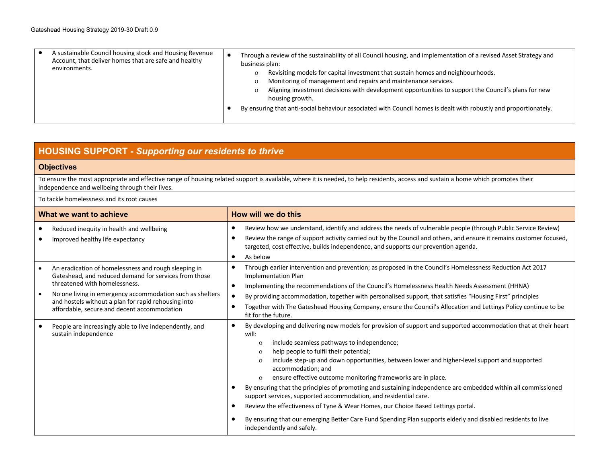| A sustainable Council housing stock and Housing Revenue<br>Account, that deliver homes that are safe and healthy<br>environments. | Through a review of the sustainability of all Council housing, and implementation of a revised Asset Strategy and<br>business plan:<br>Revisiting models for capital investment that sustain homes and neighbourhoods.<br>Monitoring of management and repairs and maintenance services.<br>$\circ$<br>Aligning investment decisions with development opportunities to support the Council's plans for new<br>$\circ$<br>housing growth. |
|-----------------------------------------------------------------------------------------------------------------------------------|------------------------------------------------------------------------------------------------------------------------------------------------------------------------------------------------------------------------------------------------------------------------------------------------------------------------------------------------------------------------------------------------------------------------------------------|
|                                                                                                                                   | By ensuring that anti-social behaviour associated with Council homes is dealt with robustly and proportionately.                                                                                                                                                                                                                                                                                                                         |

### **HOUSING SUPPORT -** *Supporting our residents to thrive*

#### **Objectives**

To ensure the most appropriate and effective range of housing related support is available, where it is needed, to help residents, access and sustain a home which promotes their independence and wellbeing through their lives.

To tackle homelessness and its root causes

| What we want to achieve |                                                                                                                                                                                                                                                                                                                   | How will we do this                                                                                                                                                                                                                                                                                                                                                                                                                                                                                                                                                                                                                                                                                                                                                                                                                                                               |  |  |
|-------------------------|-------------------------------------------------------------------------------------------------------------------------------------------------------------------------------------------------------------------------------------------------------------------------------------------------------------------|-----------------------------------------------------------------------------------------------------------------------------------------------------------------------------------------------------------------------------------------------------------------------------------------------------------------------------------------------------------------------------------------------------------------------------------------------------------------------------------------------------------------------------------------------------------------------------------------------------------------------------------------------------------------------------------------------------------------------------------------------------------------------------------------------------------------------------------------------------------------------------------|--|--|
|                         | Reduced inequity in health and wellbeing<br>Improved healthy life expectancy                                                                                                                                                                                                                                      | Review how we understand, identify and address the needs of vulnerable people (through Public Service Review)<br>Review the range of support activity carried out by the Council and others, and ensure it remains customer focused,<br>targeted, cost effective, builds independence, and supports our prevention agenda.<br>As below<br>$\bullet$                                                                                                                                                                                                                                                                                                                                                                                                                                                                                                                               |  |  |
|                         | An eradication of homelessness and rough sleeping in<br>Gateshead, and reduced demand for services from those<br>threatened with homelessness.<br>No one living in emergency accommodation such as shelters<br>and hostels without a plan for rapid rehousing into<br>affordable, secure and decent accommodation | Through earlier intervention and prevention; as proposed in the Council's Homelessness Reduction Act 2017<br><b>Implementation Plan</b><br>Implementing the recommendations of the Council's Homelessness Health Needs Assessment (HHNA)<br>$\bullet$<br>By providing accommodation, together with personalised support, that satisfies "Housing First" principles<br>Together with The Gateshead Housing Company, ensure the Council's Allocation and Lettings Policy continue to be<br>fit for the future.                                                                                                                                                                                                                                                                                                                                                                      |  |  |
|                         | People are increasingly able to live independently, and<br>sustain independence                                                                                                                                                                                                                                   | By developing and delivering new models for provision of support and supported accommodation that at their heart<br>will:<br>include seamless pathways to independence;<br>$\Omega$<br>help people to fulfil their potential;<br>$\Omega$<br>include step-up and down opportunities, between lower and higher-level support and supported<br>$\Omega$<br>accommodation; and<br>ensure effective outcome monitoring frameworks are in place.<br>$\mathbf{o}$<br>By ensuring that the principles of promoting and sustaining independence are embedded within all commissioned<br>support services, supported accommodation, and residential care.<br>Review the effectiveness of Tyne & Wear Homes, our Choice Based Lettings portal.<br>By ensuring that our emerging Better Care Fund Spending Plan supports elderly and disabled residents to live<br>independently and safely. |  |  |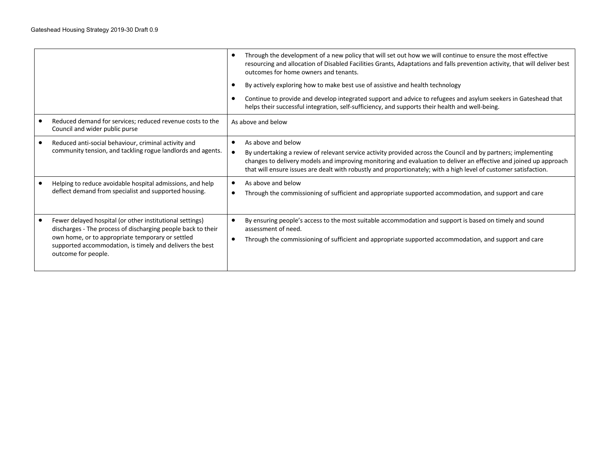|                                                                                                                                                                                                                                                                 | Through the development of a new policy that will set out how we will continue to ensure the most effective<br>resourcing and allocation of Disabled Facilities Grants, Adaptations and falls prevention activity, that will deliver best<br>outcomes for home owners and tenants.<br>By actively exploring how to make best use of assistive and health technology           |  |
|-----------------------------------------------------------------------------------------------------------------------------------------------------------------------------------------------------------------------------------------------------------------|-------------------------------------------------------------------------------------------------------------------------------------------------------------------------------------------------------------------------------------------------------------------------------------------------------------------------------------------------------------------------------|--|
|                                                                                                                                                                                                                                                                 | Continue to provide and develop integrated support and advice to refugees and asylum seekers in Gateshead that<br>helps their successful integration, self-sufficiency, and supports their health and well-being.                                                                                                                                                             |  |
| Reduced demand for services; reduced revenue costs to the<br>Council and wider public purse                                                                                                                                                                     | As above and below                                                                                                                                                                                                                                                                                                                                                            |  |
| Reduced anti-social behaviour, criminal activity and<br>community tension, and tackling rogue landlords and agents.                                                                                                                                             | As above and below<br>By undertaking a review of relevant service activity provided across the Council and by partners; implementing<br>changes to delivery models and improving monitoring and evaluation to deliver an effective and joined up approach<br>that will ensure issues are dealt with robustly and proportionately; with a high level of customer satisfaction. |  |
| Helping to reduce avoidable hospital admissions, and help<br>deflect demand from specialist and supported housing.                                                                                                                                              | As above and below<br>Through the commissioning of sufficient and appropriate supported accommodation, and support and care                                                                                                                                                                                                                                                   |  |
| Fewer delayed hospital (or other institutional settings)<br>discharges - The process of discharging people back to their<br>own home, or to appropriate temporary or settled<br>supported accommodation, is timely and delivers the best<br>outcome for people. | By ensuring people's access to the most suitable accommodation and support is based on timely and sound<br>assessment of need.<br>Through the commissioning of sufficient and appropriate supported accommodation, and support and care                                                                                                                                       |  |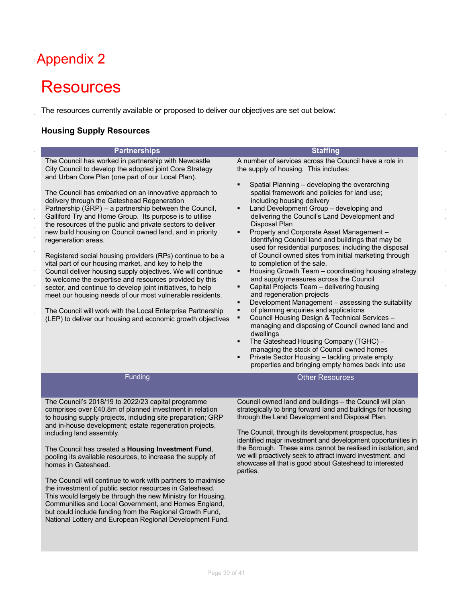## Appendix 2

## **Resources**

The resources currently available or proposed to deliver our objectives are set out below:

### **Housing Supply Resources**

| <b>Partnerships</b>                                                                                                                                                                                                                                                                                                                                                                                                                                                                                                                                                                                                                                                                                                                                                                                                                                                                                                                                                                                                                                         | <b>Staffing</b>                                                                                                                                                                                                                                                                                                                                                                                                                                                                                                                                                                                                                                                                                                                                                                                                                                                                                                                                                                                                                                                                                                                                                                                                                                                                         |
|-------------------------------------------------------------------------------------------------------------------------------------------------------------------------------------------------------------------------------------------------------------------------------------------------------------------------------------------------------------------------------------------------------------------------------------------------------------------------------------------------------------------------------------------------------------------------------------------------------------------------------------------------------------------------------------------------------------------------------------------------------------------------------------------------------------------------------------------------------------------------------------------------------------------------------------------------------------------------------------------------------------------------------------------------------------|-----------------------------------------------------------------------------------------------------------------------------------------------------------------------------------------------------------------------------------------------------------------------------------------------------------------------------------------------------------------------------------------------------------------------------------------------------------------------------------------------------------------------------------------------------------------------------------------------------------------------------------------------------------------------------------------------------------------------------------------------------------------------------------------------------------------------------------------------------------------------------------------------------------------------------------------------------------------------------------------------------------------------------------------------------------------------------------------------------------------------------------------------------------------------------------------------------------------------------------------------------------------------------------------|
| The Council has worked in partnership with Newcastle<br>City Council to develop the adopted joint Core Strategy<br>and Urban Core Plan (one part of our Local Plan).<br>The Council has embarked on an innovative approach to<br>delivery through the Gateshead Regeneration<br>Partnership (GRP) - a partnership between the Council,<br>Galliford Try and Home Group. Its purpose is to utilise<br>the resources of the public and private sectors to deliver<br>new build housing on Council owned land, and in priority<br>regeneration areas.<br>Registered social housing providers (RPs) continue to be a<br>vital part of our housing market, and key to help the<br>Council deliver housing supply objectives. We will continue<br>to welcome the expertise and resources provided by this<br>sector, and continue to develop joint initiatives, to help<br>meet our housing needs of our most vulnerable residents.<br>The Council will work with the Local Enterprise Partnership<br>(LEP) to deliver our housing and economic growth objectives | A number of services across the Council have a role in<br>the supply of housing. This includes:<br>Spatial Planning - developing the overarching<br>$\blacksquare$<br>spatial framework and policies for land use;<br>including housing delivery<br>Land Development Group - developing and<br>٠<br>delivering the Council's Land Development and<br>Disposal Plan<br>Property and Corporate Asset Management -<br>٠<br>identifying Council land and buildings that may be<br>used for residential purposes; including the disposal<br>of Council owned sites from initial marketing through<br>to completion of the sale.<br>Housing Growth Team - coordinating housing strategy<br>$\blacksquare$<br>and supply measures across the Council<br>Capital Projects Team - delivering housing<br>and regeneration projects<br>Development Management - assessing the suitability<br>$\blacksquare$<br>of planning enquiries and applications<br>٠<br>Council Housing Design & Technical Services -<br>٠<br>managing and disposing of Council owned land and<br>dwellings<br>The Gateshead Housing Company (TGHC) -<br>$\blacksquare$<br>managing the stock of Council owned homes<br>Private Sector Housing - tackling private empty<br>properties and bringing empty homes back into use |
| Funding                                                                                                                                                                                                                                                                                                                                                                                                                                                                                                                                                                                                                                                                                                                                                                                                                                                                                                                                                                                                                                                     | <b>Other Resources</b>                                                                                                                                                                                                                                                                                                                                                                                                                                                                                                                                                                                                                                                                                                                                                                                                                                                                                                                                                                                                                                                                                                                                                                                                                                                                  |
| The Council's 2018/19 to 2022/23 capital programme<br>comprises over £40.8m of planned investment in relation<br>to housing supply projects, including site preparation; GRP<br>and in-house development; estate regeneration projects,<br>including land assembly.<br>The Council has created a Housing Investment Fund,<br>pooling its available resources, to increase the supply of<br>homes in Gateshead.<br>The Council will continue to work with partners to maximise<br>the investment of public sector resources in Gateshead.<br>This would largely be through the new Ministry for Housing,<br>Communities and Local Government, and Homes England,<br>but could include funding from the Regional Growth Fund,<br>National Lottery and European Regional Development Fund.                                                                                                                                                                                                                                                                     | Council owned land and buildings - the Council will plan<br>strategically to bring forward land and buildings for housing<br>through the Land Development and Disposal Plan.<br>The Council, through its development prospectus, has<br>identified major investment and development opportunities in<br>the Borough. These aims cannot be realised in isolation, and<br>we will proactively seek to attract inward investment. and<br>showcase all that is good about Gateshead to interested<br>parties.                                                                                                                                                                                                                                                                                                                                                                                                                                                                                                                                                                                                                                                                                                                                                                               |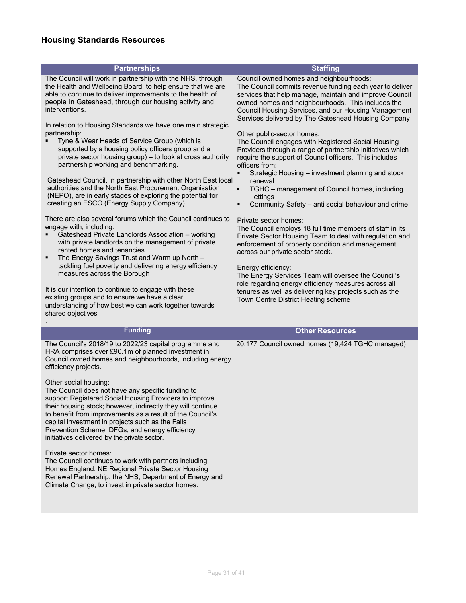### **Housing Standards Resources**

#### **Partnerships Staffing** The Council will work in partnership with the NHS, through the Health and Wellbeing Board, to help ensure that we are able to continue to deliver improvements to the health of people in Gateshead, through our housing activity and interventions. In relation to Housing Standards we have one main strategic partnership: § Tyne & Wear Heads of Service Group (which is supported by a housing policy officers group and a private sector housing group) – to look at cross authority partnership working and benchmarking. Council owned homes and neighbourhoods: The Council commits revenue funding each year to deliver services that help manage, maintain and improve Council owned homes and neighbourhoods. This includes the Council Housing Services, and our Housing Management Services delivered by The Gateshead Housing Company Other public-sector homes: The Council engages with Registered Social Housing Providers through a range of partnership initiatives which require the support of Council officers. This includes officers from:

- Gateshead Council, in partnership with other North East local § Strategic Housing – investment planning and stock renewal
	- § TGHC management of Council homes, including lettings
	- § Community Safety anti social behaviour and crime

#### Private sector homes:

The Council employs 18 full time members of staff in its Private Sector Housing Team to deal with regulation and enforcement of property condition and management across our private sector stock.

#### Energy efficiency:

The Energy Services Team will oversee the Council's role regarding energy efficiency measures across all tenures as well as delivering key projects such as the Town Centre District Heating scheme

The Council's 2018/19 to 2022/23 capital programme and HRA comprises over £90.1m of planned investment in Council owned homes and neighbourhoods, including energy efficiency projects.

authorities and the North East Procurement Organisation (NEPO), are in early stages of exploring the potential for

There are also several forums which the Council continues to

■ Gateshead Private Landlords Association – working with private landlords on the management of private

**• The Energy Savings Trust and Warm up North** tackling fuel poverty and delivering energy efficiency

It is our intention to continue to engage with these existing groups and to ensure we have a clear

understanding of how best we can work together towards

creating an ESCO (Energy Supply Company).

rented homes and tenancies.

measures across the Borough

#### Other social housing:

shared objectives

.

engage with, including:

The Council does not have any specific funding to support Registered Social Housing Providers to improve their housing stock; however, indirectly they will continue to benefit from improvements as a result of the Council's capital investment in projects such as the Falls Prevention Scheme; DFGs; and energy efficiency initiatives delivered by the private sector.

#### Private sector homes:

The Council continues to work with partners including Homes England; NE Regional Private Sector Housing Renewal Partnership; the NHS; Department of Energy and Climate Change, to invest in private sector homes.

#### **Funding Other Resources**

20,177 Council owned homes (19,424 TGHC managed)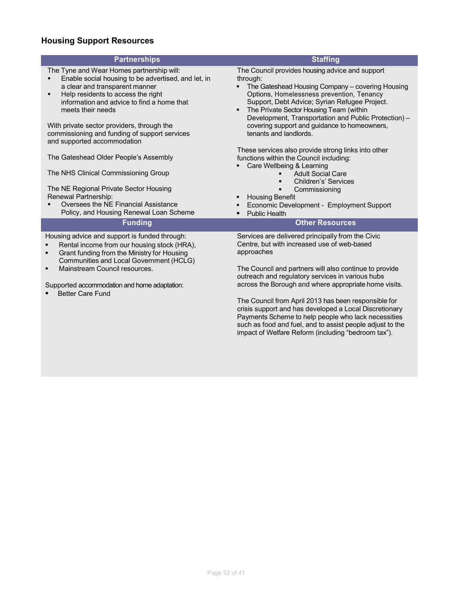### **Housing Support Resources**

| <b>Partnerships</b>                                                                                                                                                                                                                              | <b>Staffing</b>                                                                                                                                                                                                                                                                                                  |
|--------------------------------------------------------------------------------------------------------------------------------------------------------------------------------------------------------------------------------------------------|------------------------------------------------------------------------------------------------------------------------------------------------------------------------------------------------------------------------------------------------------------------------------------------------------------------|
| The Tyne and Wear Homes partnership will:<br>Enable social housing to be advertised, and let, in<br>a clear and transparent manner<br>Help residents to access the right<br>٠<br>information and advice to find a home that<br>meets their needs | The Council provides housing advice and support<br>through:<br>The Gateshead Housing Company - covering Housing<br>Options, Homelessness prevention, Tenancy<br>Support, Debt Advice; Syrian Refugee Project.<br>The Private Sector Housing Team (within<br>Development, Transportation and Public Protection) - |
| With private sector providers, through the<br>commissioning and funding of support services<br>and supported accommodation                                                                                                                       | covering support and guidance to homeowners,<br>tenants and landlords.                                                                                                                                                                                                                                           |
| The Gateshead Older People's Assembly                                                                                                                                                                                                            | These services also provide strong links into other<br>functions within the Council including:<br>Care Wellbeing & Learning                                                                                                                                                                                      |
| The NHS Clinical Commissioning Group                                                                                                                                                                                                             | <b>Adult Social Care</b><br>Children's' Services                                                                                                                                                                                                                                                                 |
| The NE Regional Private Sector Housing<br>Renewal Partnership:<br>Oversees the NE Financial Assistance                                                                                                                                           | Commissioning<br><b>Housing Benefit</b><br>Economic Development - Employment Support                                                                                                                                                                                                                             |
| Policy, and Housing Renewal Loan Scheme                                                                                                                                                                                                          | <b>Public Health</b>                                                                                                                                                                                                                                                                                             |
| <b>Funding</b>                                                                                                                                                                                                                                   | <b>Other Resources</b>                                                                                                                                                                                                                                                                                           |
| Housing advice and support is funded through:<br>Rental income from our housing stock (HRA),<br>$\blacksquare$<br>Grant funding from the Ministry for Housing<br>$\blacksquare$<br>Communities and Local Government (HCLG)                       | Services are delivered principally from the Civic<br>Centre, but with increased use of web-based<br>approaches                                                                                                                                                                                                   |
| Mainstream Council resources.<br>$\blacksquare$                                                                                                                                                                                                  | The Council and partners will also continue to provide<br>outreach and regulatory services in various hubs                                                                                                                                                                                                       |
| Supported accommodation and home adaptation:<br><b>Better Care Fund</b>                                                                                                                                                                          | across the Borough and where appropriate home visits.                                                                                                                                                                                                                                                            |
|                                                                                                                                                                                                                                                  | The Council from April 2013 has been responsible for<br>$\mathbf{r}$ . The set of the set of the set of the set of the set of the set of the set of the set of the set of the set of the set of the set of the set of the set of the set of the set of the set of the set of the set of t                        |

crisis support and has developed a Local Discretionary Payments Scheme to help people who lack necessities such as food and fuel, and to assist people adjust to the impact of Welfare Reform (including "bedroom tax").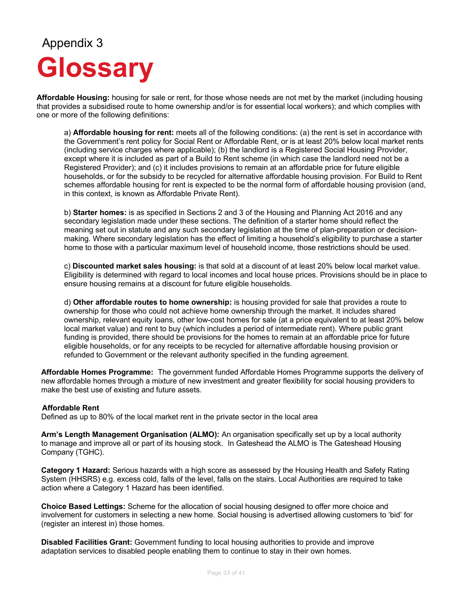# Appendix 3 **Glossary**

**Affordable Housing:** housing for sale or rent, for those whose needs are not met by the market (including housing that provides a subsidised route to home ownership and/or is for essential local workers); and which complies with one or more of the following definitions:

a) **Affordable housing for rent:** meets all of the following conditions: (a) the rent is set in accordance with the Government's rent policy for Social Rent or Affordable Rent, or is at least 20% below local market rents (including service charges where applicable); (b) the landlord is a Registered Social Housing Provider, except where it is included as part of a Build to Rent scheme (in which case the landlord need not be a Registered Provider); and (c) it includes provisions to remain at an affordable price for future eligible households, or for the subsidy to be recycled for alternative affordable housing provision. For Build to Rent schemes affordable housing for rent is expected to be the normal form of affordable housing provision (and, in this context, is known as Affordable Private Rent).

b) **Starter homes:** is as specified in Sections 2 and 3 of the Housing and Planning Act 2016 and any secondary legislation made under these sections. The definition of a starter home should reflect the meaning set out in statute and any such secondary legislation at the time of plan-preparation or decisionmaking. Where secondary legislation has the effect of limiting a household's eligibility to purchase a starter home to those with a particular maximum level of household income, those restrictions should be used.

c) **Discounted market sales housing:** is that sold at a discount of at least 20% below local market value. Eligibility is determined with regard to local incomes and local house prices. Provisions should be in place to ensure housing remains at a discount for future eligible households.

d) **Other affordable routes to home ownership:** is housing provided for sale that provides a route to ownership for those who could not achieve home ownership through the market. It includes shared ownership, relevant equity loans, other low-cost homes for sale (at a price equivalent to at least 20% below local market value) and rent to buy (which includes a period of intermediate rent). Where public grant funding is provided, there should be provisions for the homes to remain at an affordable price for future eligible households, or for any receipts to be recycled for alternative affordable housing provision or refunded to Government or the relevant authority specified in the funding agreement.

**Affordable Homes Programme:** The government funded Affordable Homes Programme supports the delivery of new affordable homes through a mixture of new investment and greater flexibility for social housing providers to make the best use of existing and future assets.

#### **Affordable Rent**

Defined as up to 80% of the local market rent in the private sector in the local area

**Arm's Length Management Organisation (ALMO):** An organisation specifically set up by a local authority to manage and improve all or part of its housing stock. In Gateshead the ALMO is The Gateshead Housing Company (TGHC).

**Category 1 Hazard:** Serious hazards with a high score as assessed by the Housing Health and Safety Rating System (HHSRS) e.g. excess cold, falls of the level, falls on the stairs. Local Authorities are required to take action where a Category 1 Hazard has been identified.

**Choice Based Lettings:** Scheme for the allocation of social housing designed to offer more choice and involvement for customers in selecting a new home. Social housing is advertised allowing customers to 'bid' for (register an interest in) those homes.

**Disabled Facilities Grant:** Government funding to local housing authorities to provide and improve adaptation services to disabled people enabling them to continue to stay in their own homes.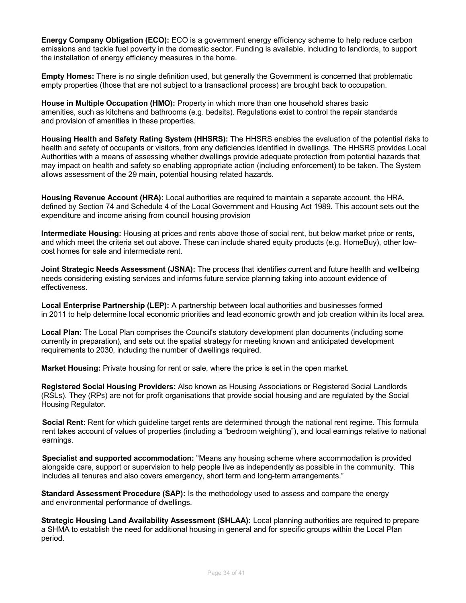**Energy Company Obligation (ECO):** ECO is a government energy efficiency scheme to help reduce carbon emissions and tackle fuel poverty in the domestic sector. Funding is available, including to landlords, to support the installation of energy efficiency measures in the home.

**Empty Homes:** There is no single definition used, but generally the Government is concerned that problematic empty properties (those that are not subject to a transactional process) are brought back to occupation.

**House in Multiple Occupation (HMO):** Property in which more than one household shares basic amenities, such as kitchens and bathrooms (e.g. bedsits). Regulations exist to control the repair standards and provision of amenities in these properties.

**Housing Health and Safety Rating System (HHSRS):** The HHSRS enables the evaluation of the potential risks to health and safety of occupants or visitors, from any deficiencies identified in dwellings. The HHSRS provides Local Authorities with a means of assessing whether dwellings provide adequate protection from potential hazards that may impact on health and safety so enabling appropriate action (including enforcement) to be taken. The System allows assessment of the 29 main, potential housing related hazards.

**Housing Revenue Account (HRA):** Local authorities are required to maintain a separate account, the HRA, defined by Section 74 and Schedule 4 of the Local Government and Housing Act 1989. This account sets out the expenditure and income arising from council housing provision

**Intermediate Housing:** Housing at prices and rents above those of social rent, but below market price or rents, and which meet the criteria set out above. These can include shared equity products (e.g. HomeBuy), other lowcost homes for sale and intermediate rent.

**Joint Strategic Needs Assessment (JSNA):** The process that identifies current and future health and wellbeing needs considering existing services and informs future service planning taking into account evidence of effectiveness.

**Local Enterprise Partnership (LEP):** A partnership between local authorities and businesses formed in 2011 to help determine local economic priorities and lead economic growth and job creation within its local area.

**Local Plan:** The Local Plan comprises the Council's statutory development plan documents (including some currently in preparation), and sets out the spatial strategy for meeting known and anticipated development requirements to 2030, including the number of dwellings required.

**Market Housing:** Private housing for rent or sale, where the price is set in the open market.

**Registered Social Housing Providers:** Also known as Housing Associations or Registered Social Landlords (RSLs). They (RPs) are not for profit organisations that provide social housing and are regulated by the Social Housing Regulator.

**Social Rent:** Rent for which guideline target rents are determined through the national rent regime. This formula rent takes account of values of properties (including a "bedroom weighting"), and local earnings relative to national earnings.

**Specialist and supported accommodation:** "Means any housing scheme where accommodation is provided alongside care, support or supervision to help people live as independently as possible in the community. This includes all tenures and also covers emergency, short term and long-term arrangements."

**Standard Assessment Procedure (SAP):** Is the methodology used to assess and compare the energy and environmental performance of dwellings.

**Strategic Housing Land Availability Assessment (SHLAA):** Local planning authorities are required to prepare a SHMA to establish the need for additional housing in general and for specific groups within the Local Plan period.